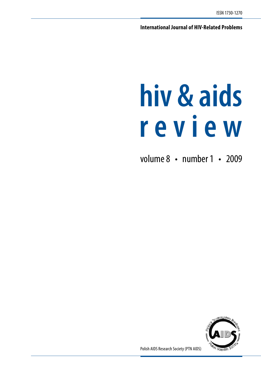**International Journal of HIV-Related Problems**

# **hiv & aids r e v i e w**

volume 8 · number 1 · 2009



Polish AIDS Research Society (PTN AIDS)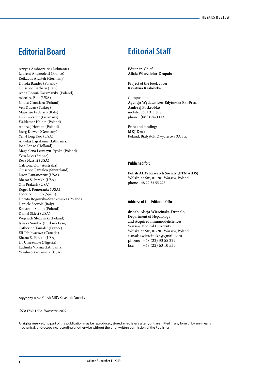# **Editorial Board Editorial Staff**

Arvyds Ambrozaitis (Lithuania) Laurent Andreoletti (France) Keikavus Arasteh (Germany) Dorota Bander (Poland) Giuseppe Barbaro (Italy) Anna Boroń-Kaczmarska (Poland) Adeel A. Butt (USA) Janusz Cianciara (Poland) Veli Duyan (Turkey) Maurizio Federico (Italy) Lutz Guertler (Germany) Waldemar Halota (Poland) Andrzej Horban (Poland) Joerg Klewer (Germany) Yen-Hong Kuo (USA) Alvydas Lajszkonis (Lithuania) Joep Lange (Holland) Magdalena Leszczyn-Pynka (Poland) Yves Levy (France) Reza Nassiri (USA) Catriona Ooi (Australia) Giuseppe Pantaleo (Switzeland) Liron Pantanowitz (USA) Bharat S. Parekh (USA) Om Prakash (USA) Roger J. Pomerantz (USA) Federico Pulido (Spain) Dorota Rogowska-Szadkowska (Poland) Daniele Scevola (Italy) Krzysztof Simon (Poland) Daniel Skiest (USA) Wojciech Służewski (Poland) Issiaka Sombie (Burkina Faso) Catherine Tamalet (France) Eli Tshibwabwa (Canada) Bharat S. Perekh (USA) Dr Umezulike (Nigeria) Ludmila Viksna (Lithuania) Yasuhiro Yamamura (USA)

Editor-in-Chief: **Alicja Wiercińska-Drapało**

Project of the book cover: **Krystyna Krakówka**

Composition: **Agencja Wydawniczo-Edytorska EkoPress Andrzej Poskrobko** mobile: 0601 311 838 phone: (085) 7421113

Print and binding: **MKJ Druk** Poland, Białystok, Zwyciestwa 3A Str.

#### **Published for:**

**Polish AIDS Research Society (PTN AIDS)** Wolska 37 Str., 01-201 Warsaw, Poland phone +48 22 33 55 225

#### **Address of the Editorial Office:**

**dr hab. Alicja Wiercinska-Drapalo** Department of Hepatology and Acquired Immunodeficiences Warsaw Medical University Wolska 37 Str., 01-201 Warsaw, Poland e-mail: awiercinska@gmail.com phone: +48 (22) 33 55 222 fax: +48 (22) 63 10 535

copyrighy © by: Polish AIDS Research Society

#### ISSN: 1730-1270, Warszawa 2009

All rights reserved; no part of this publication may be reproduced, stored in retrieval system, or transmitted in any form or by any means, mechanical, photocopying, recording or otherwise without the prior written permission of the Publisher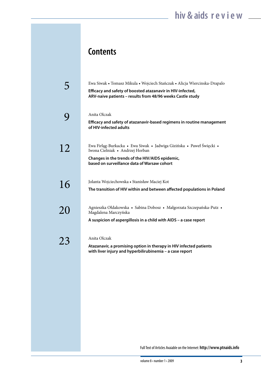# **Contents**

|    | Ewa Siwak • Tomasz Mikula • Wojciech Stańczak • Alicja Wiercinska-Drapalo<br>Efficacy and safety of boosted atazanavir in HIV-infected,<br>ARV-naive patients - results from 48/96 weeks Castle study     |
|----|-----------------------------------------------------------------------------------------------------------------------------------------------------------------------------------------------------------|
|    | Anita Olczak<br>Efficacy and safety of atazanavir-based regimens in routine management<br>of HIV-infected adults                                                                                          |
| 12 | Ewa Firlag-Burkacka • Ewa Siwak • Jadwiga Gizińska • Paweł Święcki •<br>Iwona Cielniak • Andrzej Horban<br>Changes in the trends of the HIV/AIDS epidemic,<br>based on surveillance data of Warsaw cohort |
| 16 | Jolanta Wojciechowska • Stanisław Maciej Kot<br>The transition of HIV within and between affected populations in Poland                                                                                   |
| 20 | Agnieszka Ołdakowska • Sabina Dobosz • Małgorzata Szczepańska-Putz •<br>Magdalena Marczyńska<br>A suspicion of aspergillosis in a child with AIDS - a case report                                         |
| 23 | Anita Olczak<br>Atazanavir, a promising option in therapy in HIV infected patients<br>with liver injury and hyperbilirubinemia - a case report                                                            |

Full Text of Articles Avaiable on the Internet: **http://www.ptnaids.info**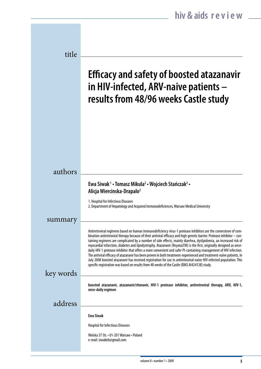| title     |                                                                                                                                                                                                                                                                                                                                                                                                                                                                                                                                                                                                                                                                                                                                                                                                                                                                                                                                                             |
|-----------|-------------------------------------------------------------------------------------------------------------------------------------------------------------------------------------------------------------------------------------------------------------------------------------------------------------------------------------------------------------------------------------------------------------------------------------------------------------------------------------------------------------------------------------------------------------------------------------------------------------------------------------------------------------------------------------------------------------------------------------------------------------------------------------------------------------------------------------------------------------------------------------------------------------------------------------------------------------|
|           | <b>Efficacy and safety of boosted atazanavir</b><br>in HIV-infected, ARV-naive patients -<br>results from 48/96 weeks Castle study                                                                                                                                                                                                                                                                                                                                                                                                                                                                                                                                                                                                                                                                                                                                                                                                                          |
|           |                                                                                                                                                                                                                                                                                                                                                                                                                                                                                                                                                                                                                                                                                                                                                                                                                                                                                                                                                             |
| authors   |                                                                                                                                                                                                                                                                                                                                                                                                                                                                                                                                                                                                                                                                                                                                                                                                                                                                                                                                                             |
|           | Ewa Siwak <sup>1</sup> • Tomasz Mikula <sup>2</sup> • Wojciech Stańczak <sup>2</sup> •<br>Alicja Wiercinska-Drapalo <sup>2</sup>                                                                                                                                                                                                                                                                                                                                                                                                                                                                                                                                                                                                                                                                                                                                                                                                                            |
|           | 1. Hospital for Infectious Diseases<br>2. Department of Hepatology and Acquired Immunodeficiences, Warsaw Medical University                                                                                                                                                                                                                                                                                                                                                                                                                                                                                                                                                                                                                                                                                                                                                                                                                                |
| summary   |                                                                                                                                                                                                                                                                                                                                                                                                                                                                                                                                                                                                                                                                                                                                                                                                                                                                                                                                                             |
|           | Antiretroviral regimens based on human immunodeficiency virus-1 protease inhibitors are the cornerstone of com-<br>bination antiretroviral therapy because of their antiviral efficacy and high genetic barrier. Protease inhibitor - con-<br>taining regimens are complicated by a number of side effects, mainly diarrhea, dyslipidemia, an increased risk of<br>myocardial infarction, diabetes and lipodystrophy. Atazanavir (ReyatazTM) is the first, originally designed as once-<br>daily HIV-1 protease inhibitor that offers a more convenient and safer PI-containing management of HIV infection.<br>The antiviral efficacy of atazanavir has been proven in both treatment-experienced and treatment-naïve patients. In<br>July 2008 boosted atazanavir has received registration for use in antiretroviral-naïve HIV-infected population. This<br>specific registration was based on results from 48 weeks of the Castle (BMS AI424138) study. |
| key words |                                                                                                                                                                                                                                                                                                                                                                                                                                                                                                                                                                                                                                                                                                                                                                                                                                                                                                                                                             |
|           | boosted atazanavir, atazanavir/ritonavir, HIV-1 protease inhibitor, antiretroviral therapy, ARV, HIV-1,<br>once-daily regimen                                                                                                                                                                                                                                                                                                                                                                                                                                                                                                                                                                                                                                                                                                                                                                                                                               |
| address   |                                                                                                                                                                                                                                                                                                                                                                                                                                                                                                                                                                                                                                                                                                                                                                                                                                                                                                                                                             |
|           | <b>Ewa Siwak</b>                                                                                                                                                                                                                                                                                                                                                                                                                                                                                                                                                                                                                                                                                                                                                                                                                                                                                                                                            |
|           | <b>Hospital for Infectious Diseases</b>                                                                                                                                                                                                                                                                                                                                                                                                                                                                                                                                                                                                                                                                                                                                                                                                                                                                                                                     |
|           | Wolska 37 Str. • 01-201 Warsaw • Poland<br>e-mail: siwakeb@gmail.com                                                                                                                                                                                                                                                                                                                                                                                                                                                                                                                                                                                                                                                                                                                                                                                                                                                                                        |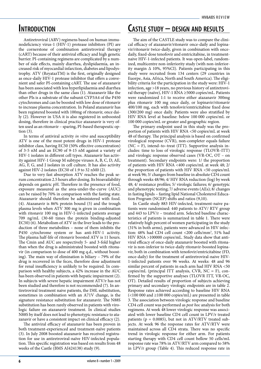### **Introduction**

Antiretroviral (ARV) regimens based on human immunodeficiency virus-1 (HIV-1) protease inhibitors (PI) are the cornerstone of combination antiretroviral therapy (cART) because of their antiviral efficacy and high genetic barrier. PI-containing regimens are complicated by a number of side effects, mainly diarrhea, dyslipidaemia, an increased risk of myocardial infarction, diabetes and lipodystrophy. ATV (ReyatazTM) is the first, originally designed as once-daily HIV-1 protease inhibitor that offers a convenient and safer PI-containing cART. The use of atazanavir has been associated with less hyperlipidaemia and diarrhea than other drugs in the same class (1). Atazanavir like the other PIs is a substrate of the subunit CYP3A4 of the P450 cytochromes and can be boosted with low dose of ritonavir to increase plasma concentration. In Poland atazanavir has been registered boosted with 100mg of ritonavir, once daily (2). However in USA it is also registered in unboosted dosing, therefore in clinical practice atazanavir is very often used as an ritonavir – sparing, PI-based therapeutic option (3).

In terms of antiviral activity *in vitro* and susceptibility ATV is one of the most potent drugs in HIV-1 protease inhibitor class, having EC50 (50% effective concentration) of 3-5 nM and an EC90 of 9-15 nM against a variety of HIV-1 isolates in different cell types. Atazanavir has activity against HIV-1 Group M subtype viruses A, B, C, D, AE, AG, F, G, and J isolates in cell culture. It has also activity against HIV-2 isolates (EC50 of 1.9 to 32 nM0 (2).

Due to very fast absorption ATV reaches the peak serum concentration 2.5 hours after dosing. Its bioavailability depends on gastric pH. Therefore in the presence of food, exposure measured as the area-under-the-curve (AUC) can be raised by 70% in comparison with the fasting state. Atazanavir should therefore be administered with food. (4). Atazanavir is 86% protein bound (5) and the trough plasma levels when ATV 300 mg is given in combination with ritonavir 100 mg in HIV-1-infected patients average 709 ng/mL (30-60 times the protein binding-adjusted EC50) (6). Metabolism of ATV in the liver leads to the production of three metabolites – none of them inhibits the P450 cytochrome system or has anti-HIV-1 activity. The plasma half-life of ritonavir boosted ATV is 11 hours. The Cmin and AUC are respectively 5- and 3-fold higher than when the drug is administrated boosted with ritonavir (in comparison to dose of 400 mg q.d., without boosting). The main way of elimination is biliary – 79% of the drug is recovered in the feces, therefore dose adjustment for renal insufficiency is unlikely to be required. In comparison with healthy subjects, a 42% increase in the AUC has been observed in patients with hepatic impairment (2). In subjects with severe hepatic impairment ATV/r has not been studied and therefore is not recommended (7). In antiretroviral treatment naive patients, the I50L substitution, sometimes in combination with an A71V change, is the signature resistance substitution for atazanavir. The N88S substitution has been rarely observed in patients with virologic failure on atazanavir treatment. In clinical studies N88S by itself does not lead to phenotypic resistance to atazanavir or have a consistent impact on clinical efficacy (2).

The antiviral efficacy of atazanavir has been proven in both treatment-experienced and treatment-naïve patients (3). In July 2008 boosted atazanavir has received registration for use in antiretroviral-naïve HIV-infected population. This specific registration was based on results from 48 weeks of the Castle (BMS AI424138) study (9).

### **Castle study – design and results**

The aim of the CASTLE study was to compare the clinical efficacy of atazanavir/ritonavir once-daily and lopinavir/ritonavir twice-daily, given in combination with oncedaily, fixed-dose tenofovir and emtricitabine, in treatmentnaive HIV-1-infected patients. It was open-label, randomized, multicentre non-inferiority study (with non-inferiority margin ∆ 10%, 95%CI). Patients participating in this study were recruited from 134 centers (29 countries in Euorpe, Asia, Africa, North and South America). The eligibility criteria for the participation in the study were: HIV-1 infection, age >18 years, no previous history of antiretroviral therapy (naïve), HIV-1 RNA ≥5000 copies/mL. Patients were randomized 1:1 to receive either atazanavir 300mg plus ritonavir 100 mg once daily, or lopinavir/ritonavir 400/100 mg, each with tenofovir/emtricitabine fixed dose (300/200 mg) once daily. Patients were also stratified by HIV RNA level at baseline: below 100 000 copies/mL or 100 000 copies/mL or greater and geographic region.

The primary endpoint used in this study was the proportion of patients with HIV RNA <50 copies/mL at week 48 of therapy. The principal analysis is based on confirmed virological response (CVR), non-completer equals failure (NC = F), intend–to–treat (ITT). Supportive analysis includes: time to loss of virologic response (TLOVR–ITT) and virologic response observed cases (VR-OC, OT – on treatment). Secondary endpoints were: 1/ the proportion of patients with HIV RNA <400 copies/mL at week 48; 2/ the proportion of patients with HIV RNA <50 copies/mL at week 96; 3/ changes from baseline in absolute CD4 count through weeks 48/96; 4/ HIV RNA reduction (log) by week 48; 4/ resistance profiles; 5/ virologic failures; 6/ genotypic and phenotypic testing; 7/ adverse events (AEs); 8/ changes in fasting lipids – fasting lipid National Cholesterol Education Program (NCEP) shifts and ratios (9,10).

In Castle study 883 HIV-infected, treatment-naive patients were randomised: 440 patients to ATV/ RTV group and 443 to LPV/r – treated arm. Selected baseline characteristics of patients is summarized in table 1. There were relatively high percent of women participating in the study (31% in both arms), patients were advanced in HIV infection: 48% had CD4 cell count <200 cells/mm<sup>3</sup>, 51% had HIV RNA >100000 copies/mL. Study data show that antiviral efficacy of once-daily atazanavir boosted with ritonavir is non-inferior to twice-daily ritonavir-boosted lopinavir, both in combination with tenofovir/emtricitabine (FD, once-daily) for the treatment of antiretroviral-naive HIV-1-infected patients over 96 weeks. At weeks: 48 and 96 similar percent of patients in each arm had HIV RNA <50 copies/mL (principal ITT analysis,  $CVR$ ,  $NC = F$ ), confirmed by the supportive analyses (TLOVR ITT, VR-OC, OT). Detailed results of proportion of subjects achieving primary and secondary virologic endpoints are in table 2. Response rates achieved according to baseline HIV RNA (<100 000 and ≥100 000 copies/mL) are presented in table 3. The association between virologic response and baseline CD4 cell count was performed as *post hoc* analysis for both regimens. At week 48 lower virologic response was associated with lower baseline CD4 cell count in LPV/r treated patients ( $p = 0.0085$ ), but not in ATV/RTV treated subjects. At week 96 the response rates for ATV/RTV were maintained across all CD4 strata. There was no specific trend in virologic response for either arm. For patients starting therapy with CD4 cell count bellow 50 cells/mL response rate was 78% in ATV/RTV arm compared to 58% in LPV/r group (Table 4). This reduced response rate in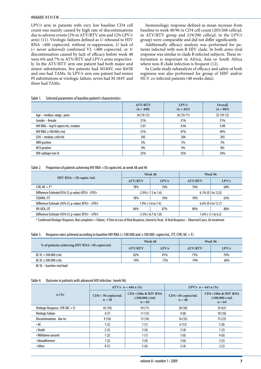LPV/r arm in patients with very low baseline CD4 cell count was mainly caused by high rate of discontinuations due to adverse events (2% in ATV/RTV arm and 12% LPV/r arm) (11). Virologic failures defined as 1/ rebound to HIV RNA >400 copies/mL without re-suppression, 2/ lack of (= never achieved) confirmed VL <400 copies/mL or 3/ discontinuation caused by lack of efficacy before week 48 were 6% and 7% in ATV/RTV and LPV/r arms respectively. In the ATV/RTV arm one patient had both major and minor substitutions, five patients had M184V, one K65R and one had TAMs. In LPV/r arm one patient had minor PI substitutions at virologic failure, seven had M 184V and three had TAMs.

Immunologic response defined as mean increase from baseline to week 48/96 in CD4 cell count (203/268 cells/μL in ATV/RTV group and 219/290 cells/μL in the LPV/r group) were comparable and did not differ significantly.

Additionally efficacy analysis was performed for patients infected with non-B HIV clade. In both arms viral response was similar to clade B infected subjects. These information is important in Africa, Asia or South Africa where non-B clade infection is frequent (12).

In Castle study subanalysis of efficacy and safety of both regimens was also performed for group of HBV and/or HCV co-infected patients (48 weeks data).

#### Table 1. Selected parameters of baseline patient's characteristics

|                                   | <b>ATV/RTV</b><br>$(n = 440)$ | LPV/r<br>$(n = 443)$ | Overall<br>$(n = 883)$ |
|-----------------------------------|-------------------------------|----------------------|------------------------|
| Age – median, range, years        | 34 (19-72)                    | 36 (19-71)           | 35 (19-72)             |
| Gender - female                   | 31%                           | 31%                  | 31%                    |
| HIV RNA - log10 copies/mL, median | 5.01                          | 4.96                 | 4.98                   |
| HIV RNA $\geq$ 100 000 c/mL       | 51%                           | 47%                  | 49%                    |
| CD4 - median, cells/mL            | 205                           | 204                  | 205                    |
| HBV positive                      | 5%                            | 5%                   | 5%                     |
| <b>HCV</b> positive               | 9%                            | 9%                   | 8%                     |
| HIV-subtape non-B                 | 33%                           | 35%                  | 34%                    |

#### Table 2. Proportion of patients achieving HIV RNA <50 copies/mL at week 48 and 96

|                                                     |                           | Week 48                                         | Week 96               |       |  |
|-----------------------------------------------------|---------------------------|-------------------------------------------------|-----------------------|-------|--|
| $HIV$ RNA < 50 copies /mL                           | <b>ATV/RTV</b>            | LPV/r                                           | <b>ATV/RTV</b>        | LPV/r |  |
| CVR, $NC = F^*$                                     | 78%                       | 76%                                             | 74%                   | 68%   |  |
| Difference Estimate (95% CI; p-value) ATV/r - LPV/r | $-2.9\%$ ( $-7.5$ to 1.6) |                                                 | $6.1\%$ (0.3 to 12.0) |       |  |
| TLOVR#, ITT                                         | 78%                       | 76%                                             | 70%                   | 63%   |  |
| Difference Estimate (95% CI; p-value) ATV/r - LPV/r | 1.9% (-3.6 to 7.4)        |                                                 | $6.6\%$ (0.4 to 12.7) |       |  |
| <b>VR-OC&amp;, OT</b>                               | 84%                       | 87%                                             | 89%                   | 88%   |  |
| Difference Estimate (95% CI; p-value) ATV/r - LPV/r |                           | $-3.5\%$ (-8.7 to 1.8)<br>$1.6\%$ (-3.1 to 6.2) |                       |       |  |

\* Confirmed Virologic Response, Non completer = Failure; # Time to Loss of Viral Response, Intend to Treat; & Viral Response – Observed Cases, On treatment

| Table 3. |  | Response rates achieved according to baseline HIV RNA (<100 000 and $\geq$ 100 000 copies/mL, ITT, CVR, NC = F) |
|----------|--|-----------------------------------------------------------------------------------------------------------------|
|          |  |                                                                                                                 |

|                                               | Week 48        |       | Week 96        |       |  |
|-----------------------------------------------|----------------|-------|----------------|-------|--|
| % of patients achieving HIV RNA <50 copies/mL | <b>ATV/RTV</b> | LPV/r | <b>ATV/RTV</b> | LPV/r |  |
| BL VL <100 000 c/mL                           | 82%            | 81%   | 75%            | 70%   |  |
| BL VL $\geq$ 100 000 c/mL                     | 74%            | 72%   | 74%            | 66%   |  |
|                                               |                |       |                |       |  |

BL VL – baseline viral load

#### Table 4. Outcome in patients with advanced HIV infection (week 96)

|                                     |                                                                                                          | $ATV/r$ n = 440 n (%) | LPV/r $n = 443$ n (%)            |                                                                |  |
|-------------------------------------|----------------------------------------------------------------------------------------------------------|-----------------------|----------------------------------|----------------------------------------------------------------|--|
| $n(\%)$                             | <b>CD4 &lt;100a &amp; HIV RNA</b><br>$CD4 < 50$ copies/mL<br>$\geq$ 100,000 c/mL<br>$n = 58$<br>$n = 83$ |                       | $CD4 < 50$ copies/mL<br>$n = 48$ | <b>CD4 &lt;100a &amp; HIV RNA</b><br>≥100,000 c/mL<br>$n = 64$ |  |
| Virologic Response CVR ( $NC = F$ ) | 45 (78)                                                                                                  | 59 (71)               | 28(58)                           | 39(61)                                                         |  |
| Virologic Failure                   | 4(7)                                                                                                     | 11(13)                | 4(8)                             | 10(16)                                                         |  |
| Discontinuations due to:            | 9(16)                                                                                                    | 13(16)                | 16(33)                           | 15(23)                                                         |  |
| $\cdot$ AE                          | 1(2)                                                                                                     | 1(1)                  | 6(13)                            | 5(8)                                                           |  |
| • Death                             | 2(3)                                                                                                     | 3(4)                  | 2(4)                             | 1(2)                                                           |  |
| • Withdrew consent                  | 1(2)                                                                                                     | 1(1)                  | 3(6)                             | 4(6)                                                           |  |
| • Nonadherence                      | 1(2)                                                                                                     | 3(4)                  | 3(6)                             | 3(5)                                                           |  |
| $\cdot$ Other                       | 4(7)                                                                                                     | 5(6)                  | 2(4)                             | 2(3)                                                           |  |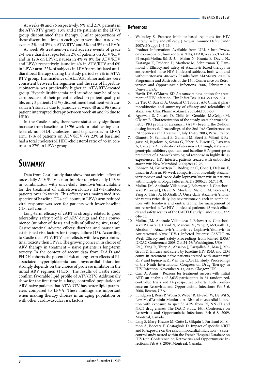At weeks 48 and 96 respectively: 9% and 21% patients in the ATV/RTV group, 13% and 21% patients in the LPV/r group discontinued their therapy. Similar proportions of these discontinuations in each group were due to adverse events: 2% and 3% on ATV/RTV and 3% and 5% on LPV/r.

At week 96 treatment–related adverse events of grade 2-4 were diarrhea reported in 2% of patients on ATV/RTV and in 12% on LPV/r, nausea in 4% vs 8% for ATV/RTV and LPV/r respectively, jaundice 4% in ATV/RTV and 0% in LPV/r arm. 22% of subjects in LPV/r arm initiated antidiarrhoeal therapy during the study period vs 9% in ATV/ RTV group. The incidence of ALT/AST abnormalities were consistent between the regimens and the rate of hyperbilirubinaemia was predictably higher in ATV/RTV-treated group. Hyperbilirubinaemia and jaundice may be of concern because of their potential effect on patient quality of life, only 3 patients (<1%) discontinued treatment with atazanavir/ritonavir due to jaundice at week 48 and 96 (none patient interrupted therapy between week 48 and 96 due to HBR).

In the Castle study, there were statistically significant increase from baseline to 48/96 week in total fasting cholesterol, non-HDL-cholesterol and triglicerydes in LPV/r arm. 17% of patients on ATV/RTV (vs 23% at baseline) had a total cholesterol: HDL-cholesterol ratio of >5 in contrast to 27% in LPV/r group.

### **Summary**

Data from Castle study data show that antiviral effect of once-daily ATV/RTV is non-inferior to twice-daily LPV/r, in combination with once-daily tenofovir/emtricitabine for the treatment of antiretroviral-naive HIV-1-infected patients over 96 weeks. This efficacy was maintained irrespective of baseline CD4 cell count; in LPV/r arm reduced viral response was seen for patients with lower baseline CD4 cell counts.

Long-term efficacy of cART is strongly related to good tolerability, safety profile of ARV drugs and their convenience (number of doses and pills of pills/day, size, taste). Gastrointestinal adverse effects: diarrhea and nausea are established risk factors for therapy failure (13). According to Castle data ATV/RTV use reflects with less gastrointestinal toxicity then LPV/r. The growing concern in choice of ARV therapy in treatment – naïve patients is long-term toxicity. In the context of recent data from D:A:D and FHDH cohorts the potential risk of long-term effects of PIassociated hyperlipidaemia and myocardial infarction strongly depends on the choice of protease inhibitor in the initial ARV regimen (14,15). The results of Castle study confirm favorable lipid profile of ATV/RTV. Additionally show for the first time in a large, controlled population of ARV-naïve patients that ATV/RTV has better lipid parameters compared to LPV/r. These findings are important when making therapy choices in an aging population or with other cardiovascular risk factors.

- 1. Walmsley S. Protease inhibitor-based regimens for HIV therapy: safety and effi cacy. J Acquir Immune Defi c Syndr 2007;45(suppl 1):5-13.
- 2. Product Information: Available from URL / http://www. emea.europa.eu/humandocs/PDFs/EPAR/reyataz/H-494- PI-en.pdfMolina JM, 3/ 3. Malan N, Krantz E, David N., Kastango K, Frederic D, Matthew M, Schnittman T, Hammond J. Efficacy and safety of atazanavir-based therapy in antiretroviral naive HIV-1 infected subjects, both with and without ritonavir: 48-week Results from AI424-089. 2006 In Programme and Abstracts of the 13th Conference on Retroviruses and Opportunistic Infections, 2006, February 5-8 Denver, USA.
- 4. Havlir DV, O'Marro, SD Atazanavir: new option for treatment of HIV infection. Clin Infect Dis; 2004 38:1599-604.
- 5. Le Tiec C, Barrail A, Goujard C, Taburet AM Clinical pharmacokinetics and summary of efficacy and tolerability of atazanavir. Clin. Pharmacokinet. 2005;44:1035-50.
- 6. Agarwala S, Grasela D, Child M, Geraldes M.,Geiger M, O'Mara E. Characterization of the steady-state pharmacokinetic (PK) profile of atazanavir (ATV) beyond the 24-hour dosing interval. Proceedings of the 2nd IAS Conference on Pathogenesis and Treatment, July 13-16, 2003, Paris, France.
- 7. Gianotti N, Seminari E, Guffanti M, Boeri E, Villani P, Regazzi M, Bigoloni A, Schira G, Tiberi S, Fusetti G, Lazzarin A, Castagna A. Evaluation of atazanavir C trough, atazanavir genotypic inhibitory quotient, and baseline HIV genotype as predictors of a 24-week virological response in highly drugexperienced, HIV-infected patients treated with unboosted atazanavir. New Microbiol. 2005;28:119-25.
- 8. Johnson M, Grinsztejn B, Rodriguez C, Coco J, DeJesus E, Lazzarin A, *et al.* 96-week comparison of oncedaily atazanavir/ritonavir and twice-daily lopinavir/ritonavir in patients with multiple virologic failures. AIDS 2006;20(5):711-8.
- Molina JM, Andrade-Villanueva J, Echevarria J, Chetchotisakd P, Corral J, David N, Moyle G, Mancini M, Percival L, Yang R, Thiry A, McGrath D. Once-daily atazanavir/ritonavir versus twice-daily lopinavir/ritonavir, each in combination with tenofovir and emtricitabine, for management of antiretroviral-naïve HIV-1-infected patients: 48 week efficacy and safety results of the CASTLE study. Lancet 2008;372: 646-55.
- 10. Molina JM, Andrade-Villanueva J, Echevarria, Chetchotisakd P, Corral J, David N, Mancini M, Yang R, McGrath D., Absalon J. Atazanavir/ritonavir vs Lopinavir/ritonavir in Antiretroviral-Naïve HIV-1 Infected Patients: CASTLE 96 Week Efficacy and Safety Proceedings from Jointed IDSA/ ICCAC Conference; 2008 Oct 24-26; Washington, USA.
- 11. Uy J, Yang R, Thiry A, Absalon J, Farajallah A, Maa J, Mc-Grath D. Efficacy and safety by baseline HIV RNA and CD4 count in treatment-naïve patients treated with atazanavir/ RTV and lopinavir/RTV in the CASTLE study. Proceedings of the Ninth International Congress on Drug Therapy in HIV Infection, November 9-13, 2008, Glasgow, UK.
- 12. Carr A, Amin J. Reasons for treatment success with initial ART: an analysis of 2,635 participants in 64 randomized, controlled trials and 14 prospective cohorts. 15th Conference on Retrovirus and Opportunistic Infections; Feb 3-6, 2008, Boston, USA.
- 13. Lundgren J, Reiss P, Wotm S, Weber R, El-Sadr W, De Wit S, Law M, d'Arminio Monforte A. Risk of myocardial infarction with exposure to specific ARV from PI, NNRTI and NRTI drug classes: The D:A:D study. 16th Conference on Retrovirus and Opportunistic Infections; Feb 6-8, 2009, Montreal, Canada.
- 14. Lang S, Mary-Krause M, Cotte L, Gilquin J, Partisani M, Simon A, Boccara F, Costagliola D. Impact of specific NRTI and PI exposure on the risk of myocardial infarction – a casecontrol study nested within the French Hospital Database on HIV16th Conference on Retrovirus and Opportunistic Infections; Feb 6-8, 2009, Montreal, Canada.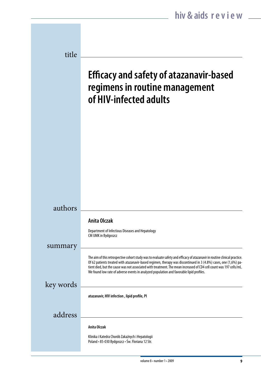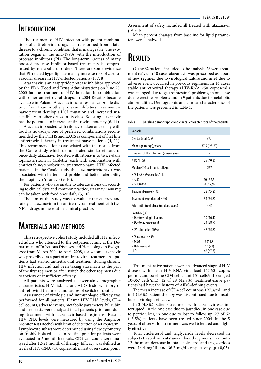### **Introduction**

The treatment of HIV infection with potent combinations of antiretroviral drugs has transformed from a fatal disease to a chronic condition that is manageable. The evolution began in the mid-1990s with the introduction of protease inhibitors (PI). The long-term success of many boosted protease inhibitor-based treatments is compromised by metabolic disorders. There are some evidence that PI-related hyperlipidaemia my increase risk of cardiovascular disease in HIV-infected patients (1, 7, 8).

Atazanavir is an azapeptide protease inhibitor approved by the FDA (Food and Drug Administration) on June 20, 2003 for the treatment of HIV infection in combination with other antiretroviral drugs. In 2004 Reyataz become available in Poland. Atazanavir has a resistance profile distinct from than in other protease inhibitors. Treatment – naïve patient develop a I50L mutation and increased susceptibility to other drugs in its class. Boosting atazanavir has the potential to increase antiretroviral potency (6, 14).

Atazanavir boosted with ritonavir taken once daily with food is nowadays one of preferred combinations recommended by the DHHS and EACS as component of first line antiretroviral therapy in treatment naïve patients (4, 11). This recommendation is associated with the results from the Castle study which demonstrated similar efficacy of once-daily atazanavir boosted with ritonavir to twice-daily lopinavir/ritonavir (Kaletra) each with combination with emtricitabine/tenofovir in treatment-naïve HIV infected patients. In the Castle study the atazanavir/ritonavir was associated with better lipid profile and better tolerability then lopinavir/ritonavir (9-10).

For patients who are unable to tolerate ritonavir, according to clinical data and common practice, atazanavir 400 mg can be taken with food once daily (3, 10).

The aim of the study was to evaluate the efficacy and safety of atazanavir in the antiretroviral treatment with two NRTI drugs in the routine clinical practice.

# **Materials and methods**

This retrospective cohort study included all HIV infected adults who attended to the outpatient clinic at the Department of Infectious Diseases and Hepatology in Bydgoszcz from March 2004 to April 2008, for whom atazanavir was prescribed as a part of antiretroviral treatment. All patients had started antiretroviral treatment during chronic HIV infection and had been taking atazanavir as the part of the first regimen or after switch the other regimens due to toxicity or insufficient efficacy.

All patients were analyzed to ascertain demographic characteristics, HIV risk factors, AIDS history, history of antiretroviral treatment and causes of switch or death.

Assessment of virologic and immunologic efficacy was performed for all patients. Plasma HIV RNA levels, CD4 cell counts, adverse events, metabolic parameters, bilirubin and liver tests were analyzed in all patients prior and during treatment with atazanavir-based regimens. Plasma HIV RNA levels were measured by using the Amplicor Monitor Kit (Roche) with limit of detection of 40 copies/ml. Lymphocyte subset were determined using flew cytometry on freshly isolated cells. In routine practice patients were evaluated in 3 month intervals. CD4 cell count were analyzed after 12-24 month of therapy. Efficacy was defined as levels of HIV-RNA <50 copies/mL in last observation point.

Assessment of safety included all treated with atazanavir patients.

Mean percent changes from baseline for lipid parameters were, analyzed.

# **Results**

Of the 62 patients included to the analysis, 28 were treatment naïve, in 10 cases atazanavir was prescribed as a part of new regimen due to virological failure and in 24 due to adverse event occurred in previous regimens. In 14 cases stable antiretroviral therapy (HIV-RNA <50 copies/mL) was changed due to gastrointestinal problems, in one case due to erectile problems and in 9 patients due to metabolic abnormalities. Demographic and clinical characteristics of the patients was presented in table 1.

Table 1. Baseline demographic and clinical characteristics of the patients

| Variable                                                                |                                |
|-------------------------------------------------------------------------|--------------------------------|
| Gender (male), %                                                        | 67,4                           |
| Mean age (range), years                                                 | 37,5 (25-60)                   |
| Duration of HIV infection, (mean), years                                | 7                              |
| AIDS N., (%)                                                            | 25 (40,3)                      |
| Median CD4 cell count, cells/µL                                         | 257                            |
| HIV-RNA N (%), copies/mL<br>$\cdot$ <50<br>$\cdot$ >100 000             | 20(32,5)<br>8(12,9)            |
| Treatment-naïve N (%)                                                   | 28 (45,2)                      |
| Treatment-experienced N(%)                                              | 34 (54,8)                      |
| Prior antiretroviral use (median, years)                                | 4,42                           |
| Switch N (%):<br>• Due to virological failure<br>• Due to adverse event | 10(16,1)<br>24 (38,7)          |
| HCV-coinfection N (%)                                                   | 47 (75,8)                      |
| HIV-exposure N (%)<br>• MSM<br>• Heterosexual<br>• I DU                 | 7(11,3)<br>13(21)<br>42 (67,7) |

Treatment-naïve patients were in advanced stage of HIV disease with mean HIV-RNA viral load 147 604 copies per mL and baseline CD4 cell count 151 cells/mL (ranged 10-357 cells/mL), 12 of 28 (42.8%) treatment-naïve patients had have the history of AIDS-defining events.

The mean increase of CD4 cell count was 197.3/mL, and in 1 (1.6%) patient therapy was discontinued due to insufficient virologic efficacy.

In 3 (4.8%) patients treatment with atazanavir was interrupted: in the one case due to jaundice, in one case due to peptic ulcer, in one due to lost to follow up. 27 of 62 (43.5%) patients have been treated since 2004. In the 5 years of observation treatment was well tolerated and highly effective.

Total cholesterol and triglyceride levels decreased in subjects treated with atazanavir based regimens. In month 12 the mean decrease in total cholesterol and triglycerides were 14.4 mg/dL and 36.2 mg/dL respectively (p <0,05).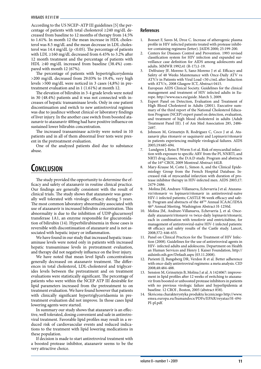According to the US NCEP–ATP III guidelines [5] the percentage of patients with total cholesterol ≥240 mg/dL decreased from baseline to 12 months of therapy from 14.5% to 1.61%. In month 12 the mean increase in HDL cholesterol was 8.5 mg/dL and the mean decrease in LDL cholesterol was 14.4 mg/dL ( $p$  <0.05). The percentage of patients with LDL ≥160 mg/dL decreased from 6.45% to 3.2% after 12 month treatment and the percentage of patients with HDL ≥40 mg/dL increased from baseline (38.4%) compared with month 12 (67%).

The percentage of patients with hypertriglicerydemia >200 mg/dL decreased from 29.03% to 19.4%, very high levels >500 mg/dL were noticed in 3 cases (4,8%) in pretreatment evaluation and in 1 (1.61%) at month 12.

The elevation of bilirubin in 3-4 grade levels were noted in 30 (48.4%) patients and it was not connected with increases of hepatic transaminase levels. Only in one patient discontinuation and switch to new antiretroviral regimen was due to jaudince without clinical or laboratory findings of liver injury. In the another case switch from boosted atazanavir to atazanavir 400mg had have positive influence on sustained lower bilirubin concentration.

The increased transaminase activity were noted in 10 patients and in all of them abnormal liver tests were present in the pretreatment evaluation.

One of the analyzed patients died due to substance abuse.

### **Conclusion**

The study provided the opportunity to determine the efficacy and safety of atazanavir in routine clinical practice. Our findings are generally consistent with the result of clinical trials. The study shows that atazanawir was generally well tolerated with virologic efficacy during 5 years. The most common laboratory abnormality associated with use of atazanavir is increased bilirubin concentration. This abnormality is due to the inhibition of UDP-glucurnosyl transferase 1A1, an enzyme responsible for glucuronidation of bilirubin (14). Hyperbilirubinemia in those cases is reversible with discontinuation of atazanavir and is not associated with hepatic injury or inflammation.

We have found in our study that increased hepatic transaminase levels were noted only in patients with increased hepatic transaminase levels in pretreatment evaluation, and therapy did not negatively influence on the liver injury.

We have noted that mean level lipid's concentrations generally decreased on atazanavir treatment. The differences in total cholesterol, LDL-cholesterol and triglycerides levels between the pretreatment and on treatment evaluations were statistically significant. The percentage of patients who were within the NCEP ATP III desirable for lipid parameters increased from the pretreatment to on treatment evaluation. We have found however that patients with clinically significant hypertriglyceridaemia in pretreatment evaluation did not improve. In those cases lipid lowering agents were started.

In summary our study shows that atazanavir is an effective, well tolerated, dosing convenient and safe in antiretroviral treatment. Favorable lipid profiles may result in a reduced risk of cardiovascular events and reduced indications to the treatment with lipid lowering medications in these population.

If decision is made to start antiretroviral treatment with a boosted protease inhibitor, atazanavir seems to be the very attractive choice.

- 1. Bonnet F, Saves M, Droz C. Increase of atherogenic plasma profile in HIV infected patients treated with protease inhibitor-containing regimens (letter). JAIDS 2000; 25:199-200.
- 2. Centers for Diseases Control and Prevention. 1993 revised classification system for HIV infection and expanded surveillance case definition for AIDS among adolescents and adults. MMWR 1992;41 (R-17);1-19.
- Delfraissy JF, Moreno S, Sanz-Moreno J et al. Efficacy and Safety of 48 Weeks Maintenance with Once-Daily ATV vs ATV/r in Patients with Viral Load <50 c/mL after Induction with ATV/r,. 2008 Glasgow ICT, Abstract 0415.
- 4. European AIDS Clinical Society. Guidelines for the clinical management and treatment of HIV infected adults in Europe. http://www.eacs.eu/guide. March 3, 2009.
- 5. Expert Panel on Detection, Evaluation and Treatment of High Blood Cholesterol in Adults (2001). Executive summary of the third report of the National Cholesterol Education Program (NCEP) expert panel on detection, evaluation, and treatment of high blood cholesterol in adults (Adult Treatment Panel III). J of Am Med Association 285, 2486- 2497.
- 6. Johnson M, Grinsztejn B, Rodriguez C, Coco J at al. Atazanavir plus ritonavir or saquinavir and Lopinavir/ritonavir in patients experiencing multiple virological failures. AIDS 2005;19:685-694.
- 7. Lundgren J, Reiss P, Worm S et al. Risk of myocardial infarction with exposure to specific ARV from the PI, NNRTI, and NRTI drug classes, the D:A:D study. Program and abstracts of the 16th CROI, 2009 Montreal Abstract 44LB.
- 8. Mary-Krause M, Cotte L, Simon A, and the Clinical Epidemiology Group from the French Hospital Database. Increased risk of myocardial infarction with duration of protease inhibitor therapy in HIV-infected men. AIDS 2003;17: 2479-2486.
- 9. Molina JM, Andrare-Villanueva, Echevarria J et al. Atazanavir/ritonavir vs lopinavir/ritonavir in antiretroviral-naïve HIV-1 infected patients; CASTLE 96 week efficacy and safety. Program and abstracts of the 48TH Annual ICAAC/IDSA 46th Annual Meeting. Washington Abstract H-1250d.
- 10. Molina JM, Andrare-Villanueva, Echevarria J, et al. Oncedaily atazanavir/ritonavir vs twice-daily lopinavir/ritonavir, each in combination with tenofovir and emtricitabine, for management of antiretroviral-naïve HIV-1 infected patients: 48 efficacy and safety results of the Castle study. Lancet, 2008;372: 646-655.
- 11. Panel on Clinical Practices for the Treatment of HIV Infection (2008). Guidelines for the use of antiretroviral agents in HIV- infected adults and adolescens. Department on Health an Human Services and Henry J. Kaiser Foundation, http:// aidsinfo.nih.gov/Default.aspx (03.11.2008).
- 12. Parienti JJ, Bangsberg DR, Verdon R et al. Better adherence with once-daily antiretroviral regimens: a meta analysis. CID 2008;48:484-488.
- 13. Sension M, Grinsztejn B, Molina J at al. A 1424067: improvement in lipid profiles after 12 weeks of switching to atazanavir from boosted or unboosted protease inhibitors in patients with no previous virologic failure and hyperlipidemia at baseline. 12 CROI , Boston, 2005 (abstract 858).
- 14. Skrócona charakterystyka produktu leczniczego http://www. emea.europa.eu/humandocs/PDFs/EPAR/reyataz/H-494- PI-pl.pdf.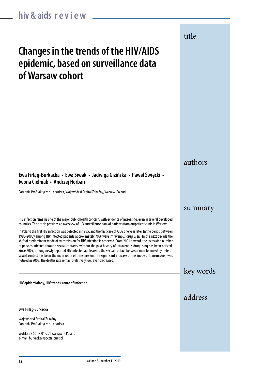authors summary key words title address **Changes in the trends of the HIV/AIDS epidemic, based on surveillance data of Warsaw cohort HIV epidemiology, HIV trends, route of infection** HIV infection remains one of the major public health concern, with evidence of increasing, even in several developed countries. The article provides an overview of HIV surveillance data of patients from outpatient clinic in Warsaw. In Poland the first HIV infection was detected in 1985, and the first case of AIDS one year later. In the period between 1990-2000y among HIV infected patients approximately 70% were intravenous drug users. In the next decade the shift of predominant mode of transmission for HIV infection is observed. From 2001 onward, the increasing number of persons infected through sexual contacts, without the past history of intravenous drug using has been noticed. Since 2005, among newly reported HIV infected adolescents the sexual contact between men followed by heterosexual contact has been the main route of transmission. The significant increase of this mode of transmission was noticed in 2008. The deaths rate remains relatively low, even decreases. **Ewa Firląg-Burkacka** Wojewódzki Szpital Zakaźny Poradnia Profilaktyczno-Lecznicza Wolska 37 Str. • 01-201 Warsaw • Poland e-mail: burkacka@poczta.onet.pl **Ewa Firląg-Burkacka • Ewa Siwak • Jadwiga Gizińska • Paweł Święcki • Iwona Cielniak • Andrzej Horban**  Poradnia Profilaktyczno-Lecznicza, Wojewódzki Szpital Zakaźny, Warsaw, Poland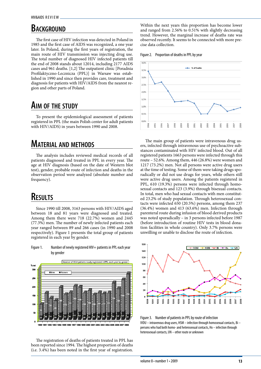# **BACKGROUND**

The first case of HIV infection was detected in Poland in 1985 and the first case of AIDS was recognized, a one year later. In Poland, during the first years of registration, the main route of HIV transmission was injecting drug use. The total number of diagnosed HIV infected patients till the end of 2008 stands about 12014, including 2177 AIDS cases and 961 deaths. [1,2] The outpatient clinic [Poradnia Profilaktyczno-Lecznicza (PPL)] in Warsaw was established in 1990 and since then provides care, treatment and diagnosis for patients with HIV/AIDS from the nearest region and other parts of Poland.

### **Aim of the study**

To present the epidemiological assessment of patients registered in PPL (the main Polish center for adult patients with HIV/AIDS) in years between 1990 and 2008.

### **Material and methods**

The analysis includes reviewed medical records of all patients diagnosed and treated in PPL in every year. The age at HIV diagnosis (based on the date of Western blot test), gender, probable route of infection and deaths in the observation period were analyzed (absolute number and frequency).

### **Results**

Since 1990 till 2008, 3163 persons with HIV/AIDS aged between 18 and 81 years were diagnosed and treated. Among them there were 718 (22.7%) women and 2445 (77.3%) men. The number of newly infected patients each year ranged between 89 and 266 cases (in 1990 and 2008 respectively). Figure 1 presents the total group of patients registered in each year by gender.

Number of HIV+ patients newly registered in PPL each year by gende  $W$ cmen  $\square$  Mer 26 150  $\ddot{a}$ 

Figure 1. Number of newly registered HIV+ patients in PPL each year by gender

The registration of deaths of patients treated in PPL has been reported since 1994. The highest proportion of deaths (i.e. 3.4%) has been noted in the first year of registration.

91 1992 1993 1994 1995 19

Within the next years this proportion has become lower and ranged from 2.56% to 0.51% with slightly decreasing trend. However, the marginal increase of deaths rate was observed recently. It seems to be connected with more precise data collection.





The main group of patients were intravenous drug users, infected through intravenous use of psychoactive substances contaminated with HIV infected blood. Out of all registered patients 1663 persons were infected through this route – 52.6%. Among them, 446 (26.8%) were women and 1217 (73.2%) men. Not all persons were active drug users at the time of testing. Some of them were taking drugs sporadically or did not use drugs for years, while others still were active drug users. Among the patients registered in PPL, 610 (19.3%) persons were infected through homosexual contacts and 123 (3.9%) through bisexual contacts. In total, men who had sexual contacts with men constituted 23.2% of study population. Through heterosexual contacts were infected 650 (20.5%) persons, among them 237 (36.4%) women and 413 (63.6%) men. Infection through parenteral route during infusion of blood derived products was noted sporadically – in 3 persons infected before 1987 (before introduction of routine HIV tests in blood donation facilities in whole country). Only 3.7% persons were unwilling or unable to disclose the route of infection.



Figure 3. Number of patients in PPL by route of infection IVDU – intravenous drug users, HSM – infection through homosexual contacts, Bi – persons who had both homo- and heterosexual contacts, Hx – infection through heterosexual contacts, UN – other route or unknown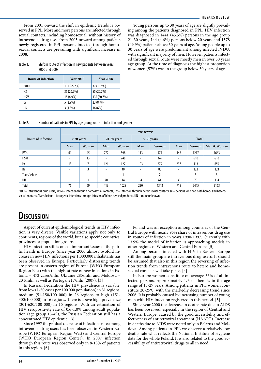From 2001 onward the shift in epidemic trends is observed in PPL. More and more persons are infected through sexual contacts, including homosexual, without history of intravenous drug use. From 2005 onward among patients newly registered in PPL persons infected through homosexual contacts are prevailing with significant increase in 2008.

Young persons up to 30 years of age are slightly prevailing among the patients diagnosed in PPL. HIV infection was diagnosed in 1441 (45.5%) persons in the age group 21-30 years, 144 (4.6%) persons below 20 years and 1578 (49.9%) patients above 30 years of age. Young people up to 30 years of age were predominant among infected IVDU, with significant majority of men. However, patients infected through sexual route were mostly men in over 30 years age group. At the time of diagnosis the highest proportion of women (57%) was in the group below 30 years of age.

#### Table 1. Shift in route of infection in new patients between years 2000 and 2008

| Route of infection | <b>Year 2000</b> | <b>Year 2008</b> |
|--------------------|------------------|------------------|
| <b>IVDU</b>        | 111 (65.7%)      | 37 (13.9%)       |
| HХ                 | 35 (20.7%)       | 55 (20.7%)       |
| <b>HSM</b>         | 15 (8.9%)        | 135 (50.7%)      |
| Bi                 | 5(2.9%)          | 23 (8.7%)        |
| UN                 | $3(1.8\%)$       | 16 (6%)          |

Table 2. Number of patients in PPL by age group, route of infection and gender

|                     | Age group                |                          |                          |       |                          |              |                          |       |             |
|---------------------|--------------------------|--------------------------|--------------------------|-------|--------------------------|--------------|--------------------------|-------|-------------|
| Route of infection  |                          | $<$ 20 years             | $21-30$ years            |       |                          | $>$ 30 years |                          | Total |             |
|                     | Man                      | Woman                    | Man                      | Woman | Man                      | Woman        | Man                      | Woman | Man & Woman |
| <b>IVDU</b>         | 61                       | 45                       | 272                      | 598   | 113                      | 574          | 446                      | 1217  | 1663        |
| <b>HSM</b>          | $\overline{\phantom{a}}$ | 13                       | $\overline{\phantom{0}}$ | 248   | ٠                        | 349          | $\overline{\phantom{0}}$ | 610   | 610         |
| Hx                  | 13                       |                          | 121                      | 127   | 103                      | 279          | 237                      | 413   | 650         |
| Bi                  | ٠                        | 3                        | ٠                        | 40    | $\overline{\phantom{a}}$ | 80           | $\overline{\phantom{a}}$ | 123   | 123         |
| <b>Transfusions</b> | $\overline{\phantom{a}}$ | $\overline{\phantom{0}}$ | $\overline{\phantom{0}}$ |       | $\overline{\phantom{0}}$ | <sup>1</sup> | $\overline{\phantom{0}}$ | 3     |             |
| UN                  |                          |                          | 20                       | 14    | 14                       | 64           | 35                       | 79    | 114         |
| Total               | 75                       | 69                       | 413                      | 1028  | 230                      | 1348         | 718                      | 2445  | 3163        |

IVDU – intravenous drug users, MSM – infection through homosexual contacts, Hx – infection through heterosexual contacts, Bi – persons who had both homo- and heterosexual contacts, Transfusions – iatrogenic infections through infusion of blood derived products, UN – route unknown

### **Discussion**

Aspect of current epidemiological trends in HIV infection is very diverse. Visible variations apply not only to continents, regions of the world, but also specific countries, provinces or population groups.

HIV infection still is one of important issues of the public health in Europe. Since year 2000 almost twofold increase in new HIV infections per 1,000,000 inhabitants has been observed in Europe. Particularly distressing trends are present in eastern region of Europe (WHO European Region East) with the highest rate of new infections in Estonia – 472 cases/mln, Ukraine 285/mln and Moldova – 204/mln, as well as Portugal 217/mln (2007). [3]

In Russian Federation the HIV prevalence is variable, from low (1-50 cases per 100 000 population) in 31 regions, medium (51-150/100 000) in 26 regions to high (151- 300/100 000) in 16 regions. There is above high prevalence (301-620/100 000) in 15 regions. With an estimation of HIV seropositivity rate of 0.6-1.0% among adult population (age group 15-49), the Russian Federation still has a concentrated HIV epidemic. [3]

Since 1997 the gradual decrease of infections rate among intravenous drug users has been observed in Western Europe (WHO European Region West) and Central Europe (WHO European Region Center). In 2007 infection through this route was observed only in 8-13% of patients in this region. [6]

Poland was an exception among countries of the Central Europe with nearly 95% share of intravenous drug use in routes of infection in years 1990-1997. Currently with 13.9% the model of infection is approaching models in other regions of Western and Central Europe. [5]

Among persons infected with HIV in Eastern Europe still the main group are intravenous drug users. It should be assumed that also in this region the reversing of infection trends from intravenous route to hetero and homosexual contacts will take place. [4]

In Europe women constitute on average 33% of all infected persons. Approximately 1/3 of them is in the age range of 15-29 years. Among patients in PPL women constitute 20-25%, with the markedly decreasing trend since 2006. It is probably caused by increasing number of young men with HIV infection registered in this period. [5]

Since year 2000 the decrease in deaths rate due to AIDS has been observed, especially in the region of Central and Western Europe, caused by the good accessibility and effectiveness of antiretroviral treatment (HAART). Increase in deaths due to AIDS were noted only in Belarus and Moldova. Among patients in PPL we observe a relatively low deaths rate what reflects the National Institute of Hygiene data for the whole Poland. It is also related to the good accessibility of antiretroviral drugs to all in need.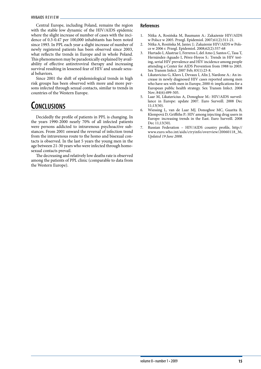Central Europe, including Poland, remains the region with the stable low dynamic of the HIV/AIDS epidemic where the slight increase of number of cases with the incidence of 0.3-0.47 per 100,000 inhabitants has been noted since 1993. In PPL each year a slight increase of number of newly registered patients has been observed since 2003, what reflects the trends in Europe and in whole Poland. This phenomenon may be paradoxically explained by availability of effective antiretroviral therapy and increasing survival resulting in lessened fear of HIV and unsafe sexual behaviors.

Since 2001 the shift of epidemiological trends in high risk groups has been observed with more and more persons infected through sexual contacts, similar to trends in countries of the Western Europe.

# **Conclusions**

Decidedly the profile of patients in PPL is changing. In the years 1990-2000 nearly 70% of all infected patients were persons addicted to intravenous psychoactive substances. From 2001 onward the reversal of infection trend from the intravenous route to the homo and bisexual contacts is observed. In the last 5 years the young men in the age between 21-30 years who were infected through homosexual contacts prevail.

The decreasing and relatively low deaths rate is observed among the patients of PPL clinic (comparable to data from the Western Europe).

- 1. Nitka A, Rosińska M, Baumann A.: Zakażenie HIV/AIDS w Polsce w 2005. Przegl. Epidemiol. 2007;61(2):311-21.
- 2. Nitka A, Rosińska M, Janiec J.: Zakażenie HIV/AIDS w Polsce w 2006 r. Przegl. Epidemiol. 2008;62(2):357-68
- 3. Hurtado I, Alastrue I, Ferreros I, del Amo J, Santos C, Tasa T, Hernández-Aguado I, Pérez-Hoyos S.: Trends in HIV testing, serial HIV prevalence and HIV incidence among people attending a Center for AIDS Prevention from 1988 to 2003. Sex Transm Infect. 2007 Feb; 83(1):23-8.
- 4. Likatavicius G, Klavs I, Devaux I, Alix J, Nardone A.: An increase in newly diagnosed HIV cases reported among men who have sex with men in Europe, 2000-6: implications for a European public health strategy. Sex Transm Infect. 2008 Nov; 84(6):499-505.
- Laar M, Likatavicius A, Donoghoe M.: HIV/AIDS surveillance in Europe: update 2007. Euro Surveill. 2008 Dec 11;13(50).
- 6. Wiessing L, van de Laar MJ, Donoghoe MC, Guarita B, Klempová D, Griffiths P.: HIV among injecting drug users in Europe: increasing trends in the East. Euro Surveill. 2008 Dec 11;13(50).
- 7. Russian Federation HIV/AIDS country profile, http:// www.euro.who.int/aids/ctryinfo/overview/20060118\_36, *Updated 19 June 2008*.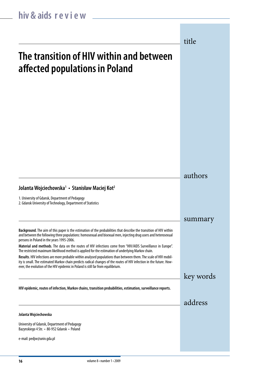title

# **The transition of HIV within and between affected populations in Poland**

authors

summary

key words

address

### **Jolanta Wojciechowska1 • Stanisław Maciej Kot2**

1. University of Gdansk, Department of Pedagogy

2. Gdansk University of Technology, Department of Statistics

**Background**. The aim of this paper is the estimation of the probabilities that describe the transition of HIV within and between the following three populations: homosexual and bisexual men, injecting drug users and heterosexual persons in Poland in the years 1995-2006.

**Material and methods**. The data on the routes of HIV infections come from "HIV/AIDS Surveillance in Europe". The restricted maximum likelihood method is applied for the estimation of underlying Markov chain.

**Results**. HIV infections are more probable within analysed populations than between them. The scale of HIV mobility is small. The estimated Markov chain predicts radical changes of the routes of HIV infection in the future. However, the evolution of the HIV epidemic in Poland is still far from equilibrium.

**HIV epidemic, routes of infection, Markov chains, transition probabilities, estimation, surveillance reports.**

#### **Jolanta Wojciechowska**

University of Gdansk, Department of Pedagogy Bazynskiego 4 Str. • 80-952 Gdansk • Poland

e-mail: pedjw@univ.gda.pl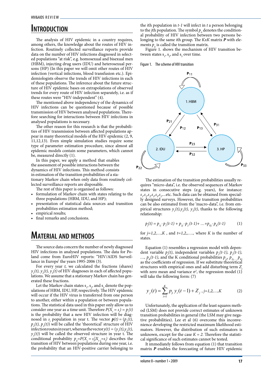### **Introduction**

The analysis of HIV epidemic in a country requires, among others, the knowledge about the routes of HIV infection. Routinely collected surveillance reports provide data on the number of HIV infections diagnosed in selected populations "at risk", e.g. homosexual and bisexual men (HBM), injecting drug users (IDU) and heterosexual persons (HP) (In this paper we will omit other routes of HIV infection (vertical infections, blood transfusion etc.). Epidemiologists observe the trends of HIV infections in each of these populations. The inference about the future structure of HIV epidemic bases on extrapolations of observed trends for every route of HIV infection separately, i.e. as if these routes were "HIV-independent" (4).

The mentioned above independency of the dynamics of HIV infections can be questioned because of possible transmission of HIV between analysed populations. Therefore searching for interactions between HIV infections in analysed populations is necessary.

The other reason for this research is that the probabilities of HIV transmission between affected populations appear in many theoretical models of the HIV epidemic (2, 9, 11,12,13). Even simple simulation studies require some type of parameter estimation procedure, since almost all epidemic models contain some parameters, which cannot be, measured directly (1).

In this paper, we apply a method that enables the assessment of possible interactions between the dynamics of HIV infections. This method consists in estimation of the transition probabilities of a stationary Markov chain when only data from routinely collected surveillance reports are disposable.

The rest of this paper is organised as follows:

- formulation of Markov chain with states relating to the three populations (HBM, IDU, and HP);
- presentation of statistical data sources and transition probabilities estimation method;
- empirical results;
- final remarks and conclusions.

### **Material and methods**

The source data concern the number of newly diagnosed HIV infections in analysed populations. The data for Poland come from EuroHIV reports: "HIV/AIDS Surveillance in Europe' the years 1995-2006 (3).

For every year *t,* we calculated the fractions (shares)  $y_1(t)$ ,  $y_2(t)$ ,  $y_3(t)$  of HIV diagnoses in each of affected populations. We assume that a stationary Markov chain has generated these fractions.

Let the Markov chain states  $s_1$ ,  $s_2$ , and  $s_3$  denote the populations of HBM, IDU, HP, respectively. The HIV epidemic will occur if the HIV virus is transferred from one person to another, either within a population or between populations. The statistical data used in this paper only allow us to consider one year as a time unit. Therefore  $P(X_t = s_i) = p_i(t)$ is the probability that a new HIV infection will be diagnosed in *s*<sub>*i*</sub> population in year t. The vector  $p(t) = (p_1(t),$  $p_2(t)$ ,  $p_3(t)$ ) will be called the 'theoretical' structure of HIV infection routes in year t, whereas the vector  $y(t) = (y_1(t), y_2(t))$ ,  $y_3(t)$  will be called the observed structure in year t. The conditional probability  $p_{ij} = P(X_i = s_i | X_{i-1} = s_i)$  describes the transition of HIV between populations during one year, i.e. the probability that an HIV-positive carrier belonging to

the *i*th population in *t-1* will infect in *t* a person belonging to the *j*th population. The symbol  $p_i$  denotes the conditional probability of HIV infection between two persons belonging to the same *i*th group. The *KxK* matrix *P* with elements  $p_{ij}$  is called the transition matrix.

Figure 1. shows the mechanism of HIV transition between states  $s_1$ ,  $s_2$ , and  $s_3$  over time.

Figure 1. The scheme of HIV transition



The estimation of the transition probabilities usually requires "micro-data", i.e. the observed sequences of Markov states in consecutive steps (e.g. years), for instance: *s<sub>1</sub>,s<sub>1</sub>,s<sub>2</sub>,s<sub>3</sub>,s<sub>3</sub>,s<sub>1</sub>,...etc. Such data can be obtained from special*ly designed surveys. However, the transition probabilities can be also estimated from the 'macro-data", i.e. from empirical structures  $y_1(t)$ ,  $y_2(t)$ ,  $y_3(t)$ , thanks to the following relationship:

$$
p_j(t) = p_{1j} \cdot p_1(t-1) + p_{2j} \cdot p_2(t-1) + \dots + p_{kj} \cdot p_k(t-1)
$$
 (1)

for *j=1,2,…,K* , and *t=1,2,,….,* where *K* is the number of states.

Equation (1) resembles a regression model with dependent variable  $p_j(t)$ , independent variables  $p_l(t-1)$ ,  $p_2(t-1)$ ,  $\ldots$ ,  $p_k(t-1)$ , and the K conditional probabilities  $p_{jj}$ ,  $p_{z_j,\ldots, z_k}$ as the coefficients of regression. If we substitute theoretical structures with empirical ones and add disturbing term *Z* with zero mean and variance  $\sigma^2$ , the regression model (1) will take the following form: (7)

$$
y_j(t) = \sum_{i=1}^{K} p_j y_i(t-1) + Z_j, j=1,2,...,K
$$
 (2)

Unfortunately, the application of the least squares method (LSM) does not provide correct estimates of unknown transition probabilities in general (the LSM may give negative probabilities). Lee et al (6) overcome this inconvenience developing the restricted maximum likelihood estimators. However, the distribution of such estimators is unknown, except for the case  $K = 2$ . Therefore the statistical significance of such estimates cannot be tested.

It immediately follows from equation (1) that transition matrix *P* enables the forecasting of future HIV epidemic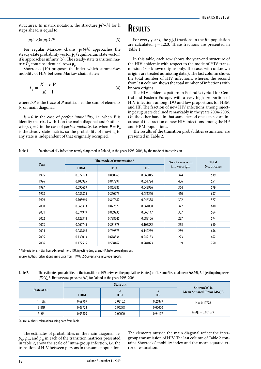structures. In matrix notation, the structure  $p(t+h)$  for h steps ahead is equal to:

$$
\boldsymbol{p}(t+h) = \boldsymbol{p}(t) \; \boldsymbol{P}^h \tag{3}
$$

For regular Markow chains, *p(t+h)* approaches the steady-state probability vector  $p_0$  (equilibrium state vector) if *h* approaches infinity (5). The steady-state transition matrix  $P_o$  contains identical rows  $p_o$ .

Shorrocks (10) proposes the index which summarises mobility of HIV between Markov chain states:

$$
I_s = \frac{K - r \mathbf{P}}{K - 1} \tag{4}
$$

where *trP* is the trace of *P* matrix, i.e., the sum of elements  $p_{ii}$  on main diagonal.

 $Is = 0$  in the case of *perfect immobility*, i.e. when  $P$  is identity matrix. (with 1 on the main diagonal and 0 otherwise).  $I_s = I$  in the case of *perfect mobility*, i.e. when  $P = P_0$ is the steady-state matrix, so the probability of moving to any state is independent of that originally occupied.

### **Results**

For every year *t*, the  $y_j(t)$  fractions in the *j*th population are calculated,  $j = 1,2,3$ . These fractions are presented in Table 1.

In this table, each row shows the year-end structure of the HIV epidemic with respect to the mode of HIV transmission (For known origins only. The cases with unknown origins are treated as missing data.). The last column shows the total number of HIV infections, whereas the second from last column shows the total number of infections with known origins.

The HIV epidemic pattern in Poland is typical for Central and Eastern Europe, with a very high proportion of HIV infections among IDU and low proportions for HBM and HP. The fraction of new HIV infections among injecting drug users declined remarkably in the years 2004-2006. On the other hand, in that same period one can see an increase of the fraction of new HIV infections among the HP and HBM populations.

The results of the transition probabilities estimation are presented in Table 2.

Table 1. Fractions of HIV infections newly diagnosed in Poland, in the years 1995-2006, by the mode of transmission

|      |            | The mode of transmission* | No. of cases with | Total        |              |  |
|------|------------|---------------------------|-------------------|--------------|--------------|--|
| Year | <b>HBM</b> | IDU                       | HP                | known origin | No. of cases |  |
| 1995 | 0.072193   | 0.860963                  | 0.066845          | 374          | 539          |  |
| 1996 | 0.100985   | 0.847291                  | 0.051724          | 406          | 551          |  |
| 1997 | 0.090659   | 0.865385                  | 0.043956          | 364          | 579          |  |
| 1998 | 0.087805   | 0.860976                  | 0.051220          | 410          | 637          |  |
| 1999 | 0.105960   | 0.847682                  | 0.046358          | 302          | 527          |  |
| 2000 | 0.066313   | 0.872679                  | 0.061008          | 377          | 630          |  |
| 2001 | 0.074919   | 0.859935                  | 0.065147          | 307          | 564          |  |
| 2002 | 0.123348   | 0.788546                  | 0.088106          | 227          | 574          |  |
| 2003 | 0.062745   | 0.831373                  | 0.105882          | 255          | 610          |  |
| 2004 | 0.087866   | 0.769875                  | 0.142259          | 239          | 656          |  |
| 2005 | 0.139013   | 0.618834                  | 0.242153          | 223          | 652          |  |
| 2006 | 0.177515   | 0.538462                  | 0.284023          | 169          | 750          |  |

\* Abbreviations: HBM: homo/bisexual men; IDU: injecting drug users; HP: heterosexual persons.

Source: Authors' calculations using data from 'HIV/AIDS Surveillance in Europe' reports.

Table 2. The estimated probabilities of the transition of HIV between the populations (states) of: 1. Homo/bisexual men (*HBM*), 2. Injecting drug users (*IDU*), 3. Heterosexual persons (*HP*) for Poland in the years 1995-2006

|              |            | Shorrocks' Is   |         |                         |
|--------------|------------|-----------------|---------|-------------------------|
| State at t-1 | <b>HBM</b> | ∠<br><b>IDU</b> | HP      | Mean Squared Error MSQE |
| HBM          | 0.69969    | 0.03152         | 0.26879 | $s = 0.19778$           |
| 2 IDU        | 0.03722    | 0.96278         | 0.00000 |                         |
| 3 HP         | 0.05803    | 0.00000         | 0.94197 | $MSQE = 0.001677$       |

Source: Authors' calculations using data from Table 1.

The estimates of probabilities on the main diagonal, i.e.  $p_{11}$ ,  $p_{22}$ , and  $p_{33}$  in each of the transition matrices presented in table 2, show the scale of "intra-group infection', i.e. the transition of HIV between persons in the same population.

The elements outside the main diagonal reflect the intergroup transmission of HIV. The last column of Table 2 contains Shorrocks' mobility index and the mean squared error of estimation.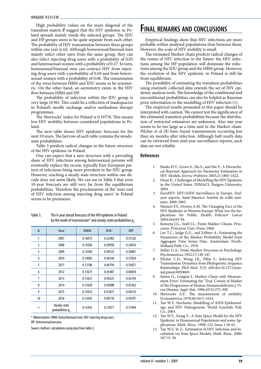High probability values on the main diagonal of the transition matrix *P* suggest that the HIV epidemic in Poland spreads mainly inside the selected groups. The IDU and HP groups seem to be quite separate from each other. The probability of HIV transmission between these groups within one year is nil. Although homosexual/bisexual men mainly infect other men from the same group, they can also infect injecting drug users with a probability of 0.03 and heterosexual women with a probability of 0.27. In turn, homosexual/bisexual men can contract HIV from injecting drug users with a probability of 0.04 and from heterosexual women with a probability of 0.06. The transmission of the virus between HBM and IDU seems to be symmetric. On the other hand, an asymmetry exists in the HIV flow between HBM and HP*.*

The probability of infection within the IDU group is very large (0.96). This could be a reflection of inadequacies in Poland's needle exchange and/or methadone therapy programmes.

The Shorrocks' index for Poland is 0.19778. This means low HIV mobility between considered populations in Poland.

The next table shows HIV epidemic forecasts for the next 10 years. The last row of each table contains the steadystate probabilities.

Table 3 predicts radical changes in the future structure of the HIV epidemic in Poland.

One can expect that a new structure with a prevailing share of HIV infections among heterosexual persons will eventually replace the recent, typically East-European pattern of infections being more prevalent in the IDU group. However, reaching a steady-state structure within one decade does not seem likely. We can see in Table 3 that even 10-year forecasts are still very far from the equilibrium probabilities. Therefore the proclamation of the 'near end of HIV infection among injecting drug users' in Poland seems to be premature.

Table 3. The *h-*year ahead forecasts of the HIV epidemic in Poland by the mode of transmission<sup>\*</sup> and steady-state probabilities  $p<sub>a</sub>$ 

| $\mathbf h$    | Year                                         | <b>HBM</b> | IDU     | HP      |
|----------------|----------------------------------------------|------------|---------|---------|
| 1              | 2007                                         | 0.16073    | 0.52402 | 0.31526 |
| $\overline{2}$ | 2008                                         | 0.15026    | 0.50958 | 0.34016 |
| 3              | 2009                                         | 0.14384    | 0.49535 | 0.36081 |
| 4              | 2010                                         | 0.14002    | 0.48144 | 0.37854 |
| 5              | 2011                                         | 0.13786    | 0.46794 | 0.39421 |
| 6              | 2012                                         | 0.13675    | 0.45487 | 0.40838 |
| 7              | 2013                                         | 0.13631    | 0.44225 | 0.42144 |
| 8              | 2014                                         | 0.13629    | 0.43008 | 0.43362 |
| 9              | 2015                                         | 0.13653    | 0.41837 | 0.44510 |
| 10             | 2016                                         | 0.13693    | 0.40710 | 0.45597 |
| $\infty$       | Steady-state<br>probabilities p <sub>o</sub> | 0.15435    | 0.13071 | 0.71494 |

\* Abbreviations: HBM: homo/bisexual men; IDU: injecting drug users; HP: heterosexual persons.

Source: Authors' calculations using data from Table 2.

### **Final remarks and conclusions**

Empirical findings show that HIV infections are more probable within analysed populations than between them. However, the scale of HIV mobility is small.

The estimated Markov chain predicts radical changes of the routes of HIV infection in the future: the HIV infections among the HP population will dominate the infections among the IDU group and the HBM group. However, the evolution of the HIV epidemic in Poland is still far from equilibrium.

The possibility of estimating the transition probabilities using routinely collected data extends the set of HIV epidemic analysis tools. The knowledge of the conditional and unconditional probabilities can also be helpful as Bayesian prior information to the modelling of HIV infection (1).

The empirical results presented in this paper should be interpreted with caution. We cannot test the significance of the estimated transition probabilities because the distribution of restricted estimators are unknown. Also one year seems to be too large as a time unit in the Markov chain. Pilcher et al (8) have found transmissions occurring less than six months after infection. Although half-yearly data can be retrieved from mid-year surveillance reports, such data are not reliable.

- 1. Banks H.T., Grove S., Hu S., and Ma Y.: A Hierarchical Bayesian Approach for Parameter Estimation in HIV Models, *Inverse Problems* 2005;21:1803-1822.
- 2. Desai K.: Challenges of Modelling the HIV Epidemic in the United States. DIMACS*,* Rutgers University; 2004.
- 3. EuroHIV: HIV/AIDS Surveillance in Europe. Endyear reports. Saint-Maurice: Institut de veille sanitaire; 2000-2003.
- 4. Hamers F.F., Downs A.M. The Changing Face of the HIV Epidemic in Western Europe: What Are the Implications for Public Health Policies? *Lancet* 2004;364:83-94.
- 5. Kemeny J.G., Snell J.L.: Finite Markov Chains. Princeton: Princeton Univ. Press; 1960.
- 6. Lee T.C., Judge G.G., and Zellner A.: Estimating the Parameters of the Markov Probability Model from Aggregate Time Series Data. Amsterdam: North-Holland Publ. Co.; 1970.
- 7. Miller G.A.: Finite Markov Processes in Psychology. Psychometrica 1952;17:149-167.
- 8. Pilcher C.D., Wong J.K., Pillai S.: Inferring HIV Transmission Dynamics from Phylogenetic Sequence Relatioships, PloS Med. 5(3): e69.doi:10.1371/journal.pmed.0050069.
- Satten G., Longini I.: Markov Chain with Measurement Error: Estimating the 'True' Course of Marker of the Progression of Human Immunodeficiency Virus Disease, Appl. Stat. 1996;45(3):275-309.
- 10. Shorrocks A.F.: The measurement of mobility. Econometrica 1978;46:1013-1024.
- 11. Tan W.Y.: Stochastic Modelling of AIDS Epidemiology and HIV Pathogenesis. World Scientific Pub. Co.; 2005.
- 12. Tan W.Y., Xiang Z.: A State Space Model for the HIV Epidemic in Homosexual Populations and some Applications. Math. Biosc. 1999; 152, Issue 1:29-61.
- 13. Tan W.Y, Ye Z.: Estimation of HIV Infection and Incubation via State Space Models, Math. Biosc. 2000; 167:31-50.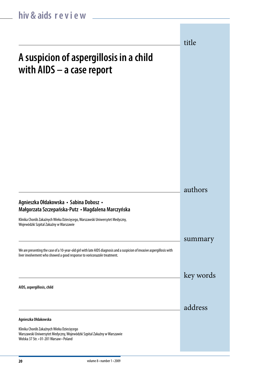|                                                                                                                                                                                                     | title     |
|-----------------------------------------------------------------------------------------------------------------------------------------------------------------------------------------------------|-----------|
| A suspicion of aspergillosis in a child<br>with AIDS - a case report                                                                                                                                |           |
|                                                                                                                                                                                                     |           |
|                                                                                                                                                                                                     |           |
|                                                                                                                                                                                                     |           |
|                                                                                                                                                                                                     |           |
|                                                                                                                                                                                                     | authors   |
| Agnieszka Ołdakowska • Sabina Dobosz •<br>Małgorzata Szczepańska-Putz • Magdalena Marczyńska                                                                                                        |           |
| Klinika Chorób Zakaźnych Wieku Dziecięcego, Warszawski Uniwersytet Medyczny,<br>Wojewódzki Szpital Zakaźny w Warszawie                                                                              |           |
| We are presenting the case of a 10-year-old girl with late AIDS diagnosis and a suspicion of invasive aspergillosis with<br>liver involvement who showed a good response to voriconazole treatment. | summary   |
|                                                                                                                                                                                                     | key words |
| AIDS, aspergillosis, child                                                                                                                                                                          |           |
|                                                                                                                                                                                                     | address   |
| Agnieszka Ołdakowska                                                                                                                                                                                |           |
| Klinika Chorób Zakaźnych Wieku Dziecięcego<br>Warszawski Uniwersytet Medyczny, Wojewódzki Szpital Zakaźny w Warszawie<br>Wolska 37 Str. • 01-201 Warsaw • Poland                                    |           |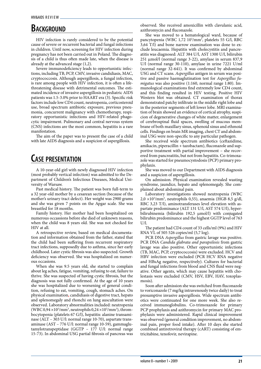# **BACKGROUND**

HIV infection is rarely considered to be the potential cause of severe or recurrent bacterial and fungal infections in children. Until now, screening for HIV infection during pregnancy has not been carried out in Poland. The diagnosis of a child is thus often made late, when the disease is already at the advanced stage (1,2).

Severe immunodeficiency leads to opportunistic infections, including TB, PCP, CMV, invasive candidiasis, MAC, cryptococcosis. Although aspergillosis, a fungal infection, is rare among people with HIV infection, it is often a lifethreatening disease with detrimental outcomes. The estimated incidence of invasive aspergillosis in pediatric AIDS patients was 1.5-3.0% prior to HAART era (3). Specific risk factors include low CD4 count, neutropenia, corticosteroid use, broad spectrum antibiotic exposure, previous pneumonia, concurrent malignancy with chemotherapy, respiratory opportunistic infections and HIV-related phagocytic impairment. Pulmonary and central nervous system (CNS) infections are the most common, hepatitis is a rare manifestation.

The aim of the paper was to present the case of a child with late AIDS diagnosis and a suspicion of aspergillosis.

# **Case presentation**

A 10-year-old girl with newly diagnosed HIV infection (most probably vertical infection) was admitted to the Department of Children's Infectious Diseases, Medical University of Warsaw.

Past medical history. The patient was born full-term to a 32 year-old mother by a cesarean section (because of the mother's urinary tract defect). Her weight was 2900 grams and she was given 7 points on the Apgar scale. She was breastfed for 18 months.

Family history. Her mother had been hospitalized on numerous occassions before she died of unknown reasons, when the child was 8 years old. She was not checked for HIV at all.

A retrospective review, based on medical documentation and information obtained from the father, stated that the child had been suffering from recurrent respiratory tract infections, supposedly due to asthma, since her early childhood. Later cystic fibrosis was also suspected. Growth deficiency was observed. She was hospitalized on numerous occasions.

When she was 9.5 years old, she started to complain about leg aches, fatigue, vomiting, refusing to eat, failure to thrive. She was suspected of having cystic fibrosis, but the diagnosis was not fully confirmed. At the age of 10 years she was hospitalized due to worsening of general condition, refusing to eat, vomiting, cough, stomach aches. On physical examination**,** candidiasis of digestive tract, hepato and splenomegaly and rhonchi on lung auscultation were observed. Laboratory abnormalities included: neutropenia (WBC 0,94 $\times$ 10<sup>3</sup>/mm<sup>3</sup>, neutrophils 0,24 $\times$ 10<sup>3</sup>/mm<sup>3</sup>), thrombocytopenia (platelets 67 G/l), hepatitis: alanine transaminase (ALT – 303 U/l: normal range 10-70), aspartate transaminase (AST – 776 U/l: normal range 10-59), gammaglutamylotranspeptidase (GGTP – 177 U/l: normal range 15-73). In abdominal USG partial fibrosis of pancreas was observed*.* She received amoxicillin with clavulanic acid, azithromycin and fluconazole.

She was moved to a hematological ward, because of pancytopenia (WBC 1,72 10<sup>3</sup>/mm<sup>3</sup>, platelets 55 G/l, RBC 3,64 T/l) and bone narrow examination was done to exclude leucaemia. Hepatitis with cholecystitis and pancreatitis was diagnosed: ALT 384 U/l, AST 1300 U/l, bilirubin 251 µmol/l (normal range 3-22), amylase in serum 837,9 U/l (normal range 30-110), amylase in urine 7221 U/ml (normal range 32-641). It was confirmed by abdominal USG and CT scans. *Aspergillus* antigen in serum was positive and passive haemaglutination test for *Aspergillus fumigatus* was also positive (1:160, normal range 1:80). Immunological examinations find extremely low CD4 count, and this finding resulted in HIV testing. Positive HIV Western blot was obtained. CT examination of thorax demonstrated patchy infiltrate in the middle right lobe and in the posterior segments of left lower lobe*.* MRI examination of brain showed an evidence of cortical atrophy, suspicion of degenerative changes of white matter, enlargement of cerebrospinal fluid spaces, swelling of mucous membrane of both maxillary sinus, sphenoid sinus and ethmoid cells*.* Findings on brain MR imaging, chest CT and abdominal USG were non-specific to any particular pathogen.

She received wide spectrum antibiotics (ceftazidime, amikacin, piperacillin + tazobactam), fluconazole and supportive treatment with partial improvement – she recovered from pancreatitis, but not from hepatitis. Co-trimoxazole was started for pneumocystodosis (PCP) primary prophylaxis.

She was moved to our Department with AIDS diagnosis and a suspicion of aspergillosis.

On admission. Physical examination revealed wasting syndrome, jaundice, hepato and splenomegaly. She complained about abdominal pain.

Laboratory investigations showed neutropenia (WBC  $2,0 \times 10^3/\text{mm}^3$ , neutrophils 0,55), anaemia (HGB 8,5 g/dl, RBC 3,23 T/l), aminotransferases level elevation with aspartate predominance (ALT 131 U/l, AST 574 U/l), hyperbilirubinemia (bilirubin 192,5 µmol/l) with conjugated bilirubin predominance and the highest GGTP level of 763  $U/1$ 

The patient had CD4 count of 33 cells/ml (9%) and HIV RNA VL of 505 526 copies/ml (5,7 log).

PCR DNA *Aspergillus* from gastric lavage was positive. PCR DNA *Candida glabrata and parapsilosis* from gastric lavage was also positive. Other opportunistic infections (TB, MAC, PCP, cryptococcosis) were excluded. HCV and HBV infection were excluded (PCR HCV RNA negative and HBsAg negative, respectively). Cultures for bacterial and fungal infections from blood and CNS fluid were negative. Other agents, which may cause hepatitis with cholestasis were excluded (CMV, HSV, EBV, HAV, toxoplasmosis).

Soon after admission she was switched from fluconazole to voriconazole (7 mg/kg intravenously twice daily) to treat presumptive invasive aspergillosis. Wide spectrum antibiotics were continuated for one more week. She also received immunoglobulins. Co-trimoxazole for primary PCP prophylaxis and azithromycin for primary MAC prophylaxis were administered. Rapid clinical improvement was observed (general condition improvement, no abdominal pain, proper food intake). After 10 days she started combined antiretroviral therapy (cART) consisting of emtricitabine, tenofovir, nevirapine.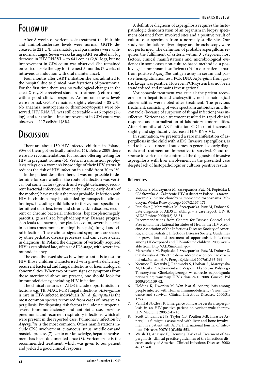### **Follow up**

After 8 weeks of voriconazole treatment the bilirubin and aminotransferases levels were normal, GGTP decreased to 221 U/L. Heamatological parameters were within normal ranges. Seven weeks lasting cART resulted in 3 log decrease in HIV RNAVL – to 641 copies (2,81 log), but no improvement in CD4 count was observed. She remained on voriconazole therapy for the next 3 months (7 weeks of intravenous induction with oral maintenance).

Four months after cART initiation she was admitted to the hospital due to clinical manifestations of pneumonia. For the first time there was no radiological changes in the chest X-ray. She received standard treatment (cefuroxime) with a good clinical response. Aminotransferases levels were normal, GGTP remained slightly elevated – 85 U/L. No anaemia, neutropenia or thrombocytopenia were observed. HIV RNA VL was still detectable – 416 copies (2,6 log), and for the first time improvement in CD4 count was observed – 117 cells/ml (8%).

### **Discussion**

There are about 150 HIV-infected children in Poland, 90% of them got vertically infected (4). Before 2009 there were no recommendations for routine offering testing for HIV in pregnant women (5). Vertical transmission prophylaxis relays on a women's knowledge of their HIV status. It reduces the risk of HIV infection in a child from 30 to 1%.

In the patient described here, it was not possible to determine for sure whether the route of infection was vertical, but some factors (growth and weight deficiency, recurrent bacterial infections from early infancy, early death of the mother) have made it the most probable. Infection with HIV in children may be attended by nonspecific clinical findings, including mild failure to thrive, non-specific intermittent diarrhea, fever and chronic skin diseases, recurrent or chronic bacterial infections, hepatosplenomegaly, parotitis, generalized lymphadenopathy. Disease progression leads to anaemia, low platelets count, severe bacterial infections (pneumonia, meningitis, sepsis), fungal and viral infections. These clinical signs and symptoms are shared by other pediatric disease processes and can cause a delay in diagnosis. In Poland the diagnosis of vertically acquired HIV is established late, often at AIDS stage, with severe immunodeficiency.

The case discussed shows how important it is to test for HIV those children characterised with growth deficiency, recurrent bacterial and fungal infections or haematological abnormalities. When two or more signs or symptoms from those mentioned above are present, one should look for immunodeficiency, including HIV infection.

The clinical features of AIDS include opportunistic infections e.g. TB, MAC, PCP, fungal infections. *Aspergillosis* is rare in HIV-infected individuals (6). *A. fumigatus* is the most common species recovered from cases of invasive aspergillosis. Predisposing risk factors include: neutropenia, severe immunodeficiency and antibiotic use, previous pneumonia and recurrent respiratory infections, which all were present in the reported case. Pulmonary infection by *Aspergillus* is the most common. Other manifestations include CNS involvement, cutaneous, sinus, middle ear and mastoid process (7). Up to our knowledge, hepatic involvement has been documented once (8). Voriconazole is the recommended treatment, which was given to our patient and yielded a good clinical response.

A definitive diagnosis of aspergillosis requires the histopathologic demonstration of an organism in biopsy specimens obtained from involved sites and a positive result of culture of a specimen from a normally sterile site. Our study has limitations: liver biopsy and bronchoscopy were not performed. The definition of probable aspergillosis requires the fulfillment of criteria within 3 categories: host factors, clinical manifestations and microbiological evidence (in some cases non-culture-based method i.e. a positive galactomannan is sufficient) (9). In our patient, apart from positive *Aspergillus* antigen assay in serum and passive hemaglutination test, PCR DNA *Aspergillus* from gastric lavage was positive. However, PCR system has not been standardized and remains investigational.

Voriconazole treatment was crucial: the patient recovered from hepatitis and cholecystitis, no haematological abnormalities were noted after treatment. The previous treatment, consisting of wide spectrum antibiotics and fluconazole (because of suspicion of fungal infection) was ineffective. Voriconazole treatment resulted in rapid clinical response and normalization of laboratory abnormalities. After 4 months of ART initiation CD4 count increased slightly and significantly decreased HIV RNA VL.

In summation, we presented a rare manifestation of aspergillosis in the child with AIDS. Invasive aspergillosis, is said to have detrimental outcomes in general so early diagnosis and treatment are imperative to survival. Good response to voriconazole confirmed the diagnosis of invasive aspergillosis with liver involvement in the presented case despite lack of histopathologic or cultures positive results.

- 1. Dobosz S, Marczyńska M, Szczepańska-Putz M, Popielska J, Ołdakowska A. Zakażenie HIV u dzieci w Polsce – zaawansowanie kliniczne choroby w momencie rozpoznania. Medycyna Wieku Rozwojowego 2007;2,167-171.
- 2. Popielska J, Marczyńska M, Szczepańska-Putz M, Dobosz S. Late diagnosis of AIDS in siblings – a case report. HIV & AIDS Review 2005;4(2),28-31.
- Recommendations from Centers for Disease Control and Prevention, the National Institutes of Health, the HIV Medicine Association of the Infectious Diseases Society of America, and the Pediatric Infectious Diseases Society. Guidelines for prevention and treatment of opportunistic infections among HIV-exposed and HIV-infected children. 2008; available from: http://AIDSinfo.nih.gov.
- 4. Marczyńska M, Popielska J, Szczepańska-Putz M, Dobosz S, Ołdakowska A. 20-letnie doświadczenie w opiece nad dziećmi zakażonymi HIV. Przegl Epidemiol 2007;61,363-369.
- 5. Niemiec T, Kotarski J, Radowicki S, Horban A, Marczyńska M, Dębski R. Rekomendacje Zespołu Ekspertów Polskiego Towarzystwa Ginekologicznego w zakresie zapobiegania perinatalnej transmisji HIV z dnia 24.10.2008. Ginekol Pol 2009;80(1),59-62.
- 6. Holding K, Dworkin M, Wan P at al. Aspergillosis among people infected with Human Immunodeficiency Virus: incidence and survival. Clinical Infectious Diseases, 2000;31: 1253-7.
- Van Hal SJ, Clezy K. Emergence of invasive cerebral aspergillosis in an HIV-positive patient on voriconazole therapy. HIV Medicine 2005;6:45-46.
- Scott CJ, Lambert JS, Taylor CB, Poulton MB. Invasive Aspergillus fumigatus associated with liver and bone involvement in a patient with AIDS. International Journal of Infectious Diseases 2007;11(6),550-553.
- Walsh TJ, Anaissie EJ, Denning DW et al. Treatment of Aspergillosis: clinical practice guidelines of the infectious diseases society of America. Clinical Infectious Diseases 2008; 46:327-60.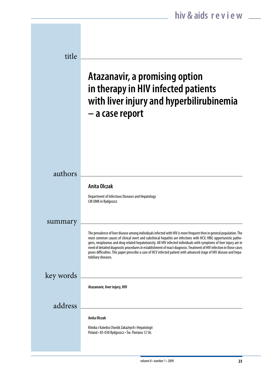| title     |                                                                                                                                                                                                                                                                                                                                                                                                                                                                                                                                                                                                                                          |
|-----------|------------------------------------------------------------------------------------------------------------------------------------------------------------------------------------------------------------------------------------------------------------------------------------------------------------------------------------------------------------------------------------------------------------------------------------------------------------------------------------------------------------------------------------------------------------------------------------------------------------------------------------------|
|           | Atazanavir, a promising option<br>in therapy in HIV infected patients<br>with liver injury and hyperbilirubinemia<br>- a case report                                                                                                                                                                                                                                                                                                                                                                                                                                                                                                     |
|           |                                                                                                                                                                                                                                                                                                                                                                                                                                                                                                                                                                                                                                          |
| authors   |                                                                                                                                                                                                                                                                                                                                                                                                                                                                                                                                                                                                                                          |
|           | Anita Olczak                                                                                                                                                                                                                                                                                                                                                                                                                                                                                                                                                                                                                             |
|           | Department of Infectious Diseases and Hepatology<br>CM UMK in Bydgoszcz                                                                                                                                                                                                                                                                                                                                                                                                                                                                                                                                                                  |
| summary   |                                                                                                                                                                                                                                                                                                                                                                                                                                                                                                                                                                                                                                          |
|           | The prevalence of liver disease among individuals infected with HIV is more frequent then in general population. The<br>most common causes of clinical overt and subclinical hepatitis are infections with HCV, HBV, opportunistic patho-<br>gens, neoplasmas and drug related hepatotoxicity. All HIV infected individuals with symptoms of liver injury are in<br>need of detailed diagnostic procedures in establishment of exact diagnosis. Treatment of HIV infection in those cases<br>poses difficulties. This paper prescribe a case of HCV infected patient with advanced stage of HIV disease and hepa-<br>tobiliary diseases. |
| key words |                                                                                                                                                                                                                                                                                                                                                                                                                                                                                                                                                                                                                                          |
|           | Atazanavir, liver injury, HIV                                                                                                                                                                                                                                                                                                                                                                                                                                                                                                                                                                                                            |
| address   |                                                                                                                                                                                                                                                                                                                                                                                                                                                                                                                                                                                                                                          |
|           | Anita Olczak                                                                                                                                                                                                                                                                                                                                                                                                                                                                                                                                                                                                                             |
|           | Klinika i Katedra Chorób Zakaźnych i Hepatologii<br>Poland • 85-030 Bydgoszcz • Św. Floriana 12 Str.                                                                                                                                                                                                                                                                                                                                                                                                                                                                                                                                     |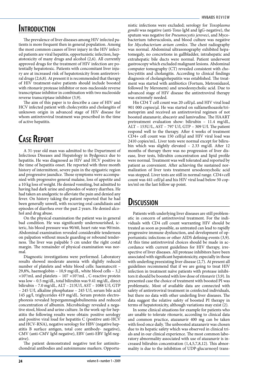### **Introduction**

The prevalence of liver diseases among HIV infected patients is more frequent then in general population. Among the most common causes of liver injury in the HIV infected patients are viral hepatitis, opportunistic infection, hepatotoxicity of many drugs and alcohol (2,6). All currently approved drugs for the treatment of HIV infection are potentially hepatotoxic. Patients with concomitant liver injury are at increased risk of hepatotoxicity from antiretroviral drugs (2,6,8). At present it is recommended that therapy of HIV treatment-naïve patients should include boosted with ritonavir protease inhibitor or non-nucleoside reverse transcriptase inhibitor in combination with two nucleoside reverse transcriptase inhibitor (3,9).

The aim of this paper is to describe a case of HIV and HCV infected patient with cholecystitis and cholangitis of unknown origin in advanced stage of HIV disease for whom antiretroviral treatment was prescribed in the time of active hepatitis.

# **Case Report**

A 31-year old man was admitted to the Department of Infectious Diseases and Hepatology in Bydgoszcz due to hepatitis. He was diagnosed as HIV and HCV positive in the time of hepatitis onset. He reported with three month history of intermittent, severe pain in the epigastric region and progressive jaundice. Those symptoms were accompanied with progressive general malaise, loss of appetite and a 10 kg loss of weight. He denied vomiting, but admitted to having had dark urine and episodes of watery diarrhea. He had taken an analgestic to alleviate the pain and denied any fever. On history taking the patient reported that he had been generally unwell, with recurring oral candidiasis and episodes of diarrhea over the past 2 years. He denied alcohol and drug abuse.

On the physical examination the patient was in general bad condition. He was significantly undernourished, icteric, his blood pressure was 90/60, heart rate was 90/min. Abdominal examination revealed considerable tenderness on palpation without muscle guarding or rebound tenderness. The liver was palpable 5 cm under the right costal margin. The remainder of physical examination was normal.

Diagnostic investigations were performed. Laboratory results showed moderate anemia with slightly reduced number of platelets and white blood cells: haematocrit – 29,8%, haemoglobin – 10,9 mg/dL, white blood cells – 3,2  $\times 10^9/\text{mL}$  and platelets – 107  $\times 10^3/\text{mL}$  , C-reactive protein was low – 0.5 mg/dL, total bilirubin was 9.41 mg/dL, direct bilirubin – 7.0 mg/dL, ALT – 213U/l, AST – 1088 U/l, GTP – 245 U/l, alkaline phosphatase – 245 U/l, serum bile acid 145 µg/l, triglycerides 419 mg/dL. Serum protein electrophoresis revealed hypergammaglobulinemia and reduced concentration of albumin. Microbiology revealed a negative stool, blood and urine culture. In the work-up for hepatitis the following results were obtain: positive serology and positive viral load for hepatitis C (postitve anti-HCV and HCV-RNA), negative serology for HBV (negative hepatitis B surface antigen, total core antibody- negative), CMV (anti-CMV IgM negative), EBV (anti-EBV IgM negative).

The patient demonstrated negative test for antimitochondrial antibodies and autoimmune markers. Opportunistic infections were excluded; serology for *Toxoplasma gondii* was negative (anti-Toxo IgM and IgG-negative), the sputum was negative for *Pneumocystis jeroveci*, and Mycobacterium tuberuculosis, and blood culture was negative for *Mycobacterium avium comlex*. The chest radiography was normal. Abdominal ultrasonography exhibited hepatomegaly, no concretions in gallbladder, intrahepatic and extrahepatic bile ducts were normal. Patient underwent gastroscopy which excluded malignant lesions. Abdominal computer tomography (CT) revealed consistent with cholescystitis and cholangitis. According to clinical findings diagnosis of cholangiohepatitis was established. The treatment was started with antibiotics (Fortum, Metronidazol, followed by Meronem) and ursodeoxycholic acid. Due to advanced stage of HIV disease the antiretroviral therapy was extremely needed.

His CD4 T cell count was 20 cell/µL and HIV viral load 901 000 copies/µl. He was started on sulfamethoazole/trimetoprim and received an antiretroviral regimen of not boosted atazanavir, abacavir and lamivudine. The HAART pretreatment evaluation show: bilirubin – 11.4 mg/dL, ALT – 153U/L, AST – 797 U/l, GTP – 309 U/l. The patient respond well to the therapy. After 4 weeks of treatment CD4+ cell count was 150 cell/µl and HIV viral load was 2410 copies/mL. Liver tests were normal except for bilirubin which was slightly elevated – 2.33 mg/dl. After 12 months of therapy there was no progression of liver disease, liver tests, bilirubin concentration and lipid profile were normal. Treatment was well tolerated and reported by patient as convenient. After achieving the sustained normalization of liver tests treatment ursodeoxycholic acid was stopped. Liver tests are still in normal range. CD4+cell count was 441 cell/µl and his HIV viral load below 50 copies/ml on the last follow up point.

### **Discussion**

Patients with underlying liver diseases are still problematic in concern of antiretroviral treatment. For the individuals with CD4 cell count warranting HIV should be treated as soon as possible, as untreated can lead to rapidly progressive immune dysfunction, and development of opportunistic infections or other AIDS defining events (3,9). At this time antiretroviral choices should be made in accordance with current guidelines for HIV therapy, irrespective of liver diseases. All protease inhibitors have been associated with significant hepatotoxicity, especially in those with underling preexisting liver disease (2,7). At present all guidelines recommend that if we are going to treat HIV infection in treatment naïve patients with protease inhibitors it should be boosted with low dose of ritonavir (3,9). In presented case the choice of treatment with boosted PI was problematic. Most of available data are connected with safety of antiretroviral treatment in coinfected individuals, but there no data with other underling liver diseases. The data suggest the relative safety of boosted PI therapy in terms of hepatotoxicity, although variations may exist (2).

In some clinical situations for example for patients who are unable to tolerate ritonavir, according to clinical data and common practice, atazanavir 400 mg can be taken with food once daily. The unboosted atazanavir was chosen due to its hepatic safety which was observed in clinical trials and in our clinical experience. The most common laboratory abnormality associated with use of atazanavir is increased bilirubin concentration (1,4,5,7,8,12). This abnormality is due to the inhibition of UDP-glucurnosyl trans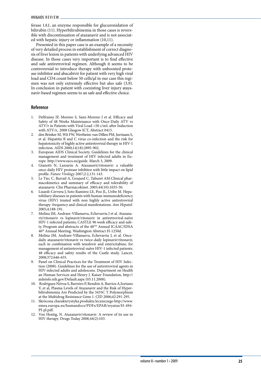ferase 1A1, an enzyme responsible for glucuronidation of bilirubin (11). Hyperbilirubinemia in those cases is revers ible with discontinuation of atazanavir and is not associat ed with hepatic injury or inflammation (10,11).

Presented in this paper case is an example of a necessity of very detailed process in establishment of correct diagno sis of liver lesion in patients with underlying advanced HIV disease. In those cases very important is to find effective and safe antiretroviral regimen. Although it seems to be controversial to introduce therapy with unboosted prote ase inhibitor and abacabivir for patient with very high viral load and CD4 count below 50 cells/µl in our case this regi men was not only extremely effective but also safe (3,9). In conclusion in patient with coexisting liver injury ataya navir-based regimen seems to an safe and effective choice.

- 1. Delfraissy JF, Moreno S, Sanz-Moreno J et al. Efficacy and Safety of 48 Weeks Maintenance with Once-Daily ATV vs ATV/r in Patients with Viral Load <50 c/mL after Induction with ATV/r,. 2008 Glasgow ICT, Abstract 0415.
- 2. den Brinker M, Wit FW, Wertheim-van Dillen PM, Jurriaans S, et al. Hepatitis B and C virus co-infection and the risk for hepatotoxicity of highly active antiretroviral therapy in HIV-1 infection. AIDS 2000;14(18):2895-902.
- 3. European AIDS Clinical Society. Guidelines for the clinical management and treatment of HIV infected adults in Eu rope. http://www.eacs.eu/guide. March 3, 2009.
- 4. Gianotti N, Lazzarin A. Atazanavir/ritonavir: a valuable once-daily HIV protease inhibitor with little impact on lipid profile. *Future Virology* 2007;2:2,131-143.
- 5. Le Tiec C, Barrail A, Goujard C, Taburet AM.Clinical phar macokinetics and summary of efficacy and tolerability of atazanavir. Clin Pharmacokinet. 2005;44(10):1035-50.
- 6. Lizardi-Cervera J, Soto Ramirez LE, Poo JL, Uribe M. Hepa tobiliary diseases in patients with human immunodeficiency virus (HIV) treated with non highly active antiretroviral therapy: frequency and clinical manifestations. *Ann Hepatol.*  2005;4:188-191.
- 7. Molina JM, Andrare-Villanueva, Echevarria J et al. Atazana vir/ritonavir vs lopinavir/ritonavir in antiretroviral-naïve HIV-1 infected patients; CASTLE 96 week efficacy and safe ty. Program and abstracts of the 48TH Annual ICAAC/IDSA 46th Annual Meeting. Washington Abstract H-1250d.
- 8. Molina JM, Andrare-Villanueva, Echevarria J, et al. Oncedaily atazanavir/ritonavir vs twice-daily lopinavir/ritonavir, each in combination with tenofovir and emtricitabine, for management of antiretroviral-naïve HIV-1 infected patients: 48 efficacy and safety results of the Castle study. Lancet, 2008;372:646-655.
- 9. Panel on Clinical Practices for the Treatment of HIV Infec tion (2008). Guidelines for the use of antiretroviral agents in HIV-infected adults and adolescens. Department on Health an Human Services and Henry J. Kaiser Foundation, http:// aidsinfo.nih.gov/Default.aspx (03.11.2008).
- 10. Rodríguez Nóvoa S, Barreiro P, Rendón A, Barrios A,Soriano V, et al, Plasma Levels of Atazanavir and the Risk of Hyper bilirubinemia Are Predicted by the 3435C T Polymorphism at the Multidrug Resistance Gene 1. CID 2006;42:291-295.
- 11. Skrócona charakterystyka produktu leczniczego http://www. emea.europa.eu/humandocs/PDFs/EPAR/reyataz/H-494- PI-pl.pdf.
- 12. Von Hentig, N. Atazanavir/ritonavir: A review of its use in HIV therapy. Drugs Today 2008,44(2):103.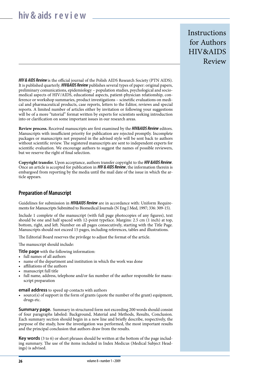# **hiv & aids r e v i e w**

**Instructions** for Authors HIV&AIDS Review

*HIV & AIDS Review* is the official journal of the Polish AIDS Research Society (PTN AIDS). It is published quarterly. *HIV&AIDS Review* publishes several types of paper: original papers, preliminary comunications, epidemiology – population studies, psychological and sociomedical aspects of HIV/AIDS, educational aspects, patient-physician relationship, conference or workshop summaries, product investigations – scinetific evaluations on medical and pharmaceutical products, case reports, letters to the Editor, reviews and special reports. A limited number of articles either by invitation or following your suggestions will be of a more "tutorial" format written by experts for scientists seeking introduction into or clarification on some important issues in our research areas.

**Review process.** Received manuscripts are first examined by the *HIV&AIDS Review* editors. Manuscripts with insufficient priority for publication are rejected promptly. Incomplete packages or manuscripts not prepared in the advised style will be sent back to authors without scientific review. The registered manuscripts are sent to independent experts for scientific evaluation. We encourage authors to suggest the names of possible reviewers, but we reserve the right of final selection.

**Copyright transfer.** Upon acceptance, authors transfer copyright to the *HIV &AIDS Review*. Once an article is accepted for publication in *HIV & AIDS Review*, the information therein is embargoed from reporting by the media until the mail date of the issue in which the article appears.

### **Preparation of Manuscript**

Guidelines for submission in *HIV&AIDS Review* are in accordance with: Uniform Requirements for Manuscripts Submitted to Biomedical Journals (N Eng J Med, 1997; 336: 309-15).

Include 1 complete of the manuscript (with full page photocopies of any figures), text should be one and half spaced with 12-point typeface. Margins: 2.5 cm (1 inch) at top, bottom, right, and left. Number on all pages consecutively, starting with the Title Page. Manuscripts should not exceed 15 pages, including references, tables and illustrations.

The Editorial Board reserves the privilege to adjust the format of the article.

The manuscript should include:

**Title page** with the following information:

- full names of all authors
- name of the department and institution in which the work was done
- affiliations of the authors
- manuscript full title
- full name, address, telephone and/or fax number of the author responsible for manuscript preparation

**email address** to speed up contacts with authors

• source(s) of support in the form of grants (quote the number of the grant) equipment, drugs etc.

**Summary page.** Summary in structured form not exceeding 200 words should consist of four paragraphs labeled: Background, Material and Methods, Results, Conclusion. Each summary section should begin in a new line and briefly describe, respectively, the purpose of the study, how the investigation was performed, the most important results and the principal conclusion that authors draw from the results.

**Key words** (3 to 6) or short phrases should be written at the bottom of the page including summary. The use of the items included in Index Medicus (Medical Subject Headings) is advised.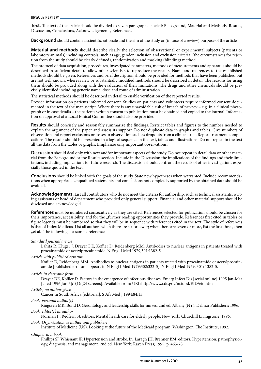**Text.** The text of the article should be divided to seven paragraphs labeled: Background, Material and Methods, Results, Discussion, Conclusions, Acknowledgements, References.

**Background** should contain a scientific rationale and the aim of the study or (in case of a review) purpose of the article.

**Material and methods** should describe clearly the selection of observational or experimental subjects (patients or laboratory animals) including controls, such as age, gender, inclusion and exclusion criteria (the circumstances for rejection from the study should be clearly defined), randomization and masking (blinding) method.

The protocol of data acquisition, procedures, investigated parameters, methods of measurements and apparatus should be described in sufficient detail to allow other scientists to reproduce the results. Name and references to the established methods should be given. References and brief description should be provided for methods that have been published but are not well known, whereas new or substantially modified methods should be described in detail. The reasons for using them should be provided along with the evaluation of their limitations. The drugs and other chemicals should be precisely identified including generic name, dose and route of administration.

The statistical methods should be described in detail to enable verification of the reported results.

Provide information on patients informed consent. Studies on patients and volunteers require informed consent documented in the text of the manuscript. Where there is any unavoidable risk of breach of privacy – e.g. in a clinical photograph or in case details – the patients written consent to publication must be obtained and copied to the journal. Information on approval of a Local Ethical Committee should also be provided.

**Results** should concisely and reasonably summarize the findings. Restrict tables and figures to the number needed to explain the argument of the paper and assess its support. Do not duplicate data in graphs and tables. Give numbers of observation and report exclusions or losses to observation such as dropouts from a clinical trial. Report treatment complications. The results should be presented in a logical sequence in the text, tables and illustrations. Do not repeat in the text all the data from the tables or graphs. Emphasize only important observations.

**Discussion** should deal only with new and/or important aspects of the study. Do not repeat in detail data or other material from the Background or the Results section. Include in the Discussion the implications of the findings and their limitations, including implications for future research. The discussion should confront the results of other investigations especially those quoted in the text.

**Conclusions** should be linked with the goals of the study. State new hypotheses when warranted. Include recommendations when appropriate. Unqualified statements and conclusions not completely supported by the obtained data should be avoided.

**Acknowledgements.** List all contributors who do not meet the criteria for authorship, such as technical assistants, writing assistants or head of department who provided only general support. Financial and other material support should be disclosed and acknowledged.

**References** must be numbered consecutively as they are cited. References selected for publication should be chosen for their importance, accessibility, and for the "further reading opportunities they provide. References first cited in tables or figure legends must be numbered so that they will be in sequence with references cited in the text. The style of references is that of Index Medicus. List all authors when there are six or fewer; when there are seven or more, list the first three, then "et al.". The following is a sample reference:

#### *Standard journal article*

Lahita R, Kluger J, Drayer DE, Koffler D, Reidenberg MM. Antibodies to nuclear antigens in patients treated with procainamide or acetylprocainamide. N Engl J Med 1979;301:1382-5.

#### *Article with published erratum*

Koffler D, Reidenberg MM. Antibodies to nuclear antigens in patients treated with procainamide or acetylprocainamide [published erratum appears in N Engl J Med 1979;302:322-5]. N Engl J Med 1979; 301: 1382-5.

#### *Article in electronic form*

Drayer DE, Koffler D. Factors in the emergence of infectious diseases. Emerg Infect Dis [serial online] 1995 Jan-Mar [cited 1996 Jun 5];1(1):[24 screens]. Available from: URL:http://www.cdc.gov/ncidod/EID/eid.htm

#### *Article, no author given*

Cancer in South Africa [editorial]. S Afr Med J 1994;84:15.

*Book, personal author(s)*

Ringsven MK, Bond D. Gerontology and leadership skills for nurses. 2nd ed. Albany (NY): Delmar Publishers; 1996. *Book, editor(s) as author*

Norman IJ, Redfern SJ, editors. Mental health care for elderly people. New York: Churchill Livingstone; 1996.

#### *Book, Organization as author and publisher:*

Institute of Medicine (US). Looking at the future of the Medicaid program. Washington: The Institute; 1992.

#### *Chapter in a book*

Phillips SJ, Whisnant JP. Hypertension and stroke. In: Laragh JH, Brenner BM, editors. Hypertension: pathophysiology, diagnosis, and management. 2nd ed. New York: Raven Press; 1995. p. 465-78.